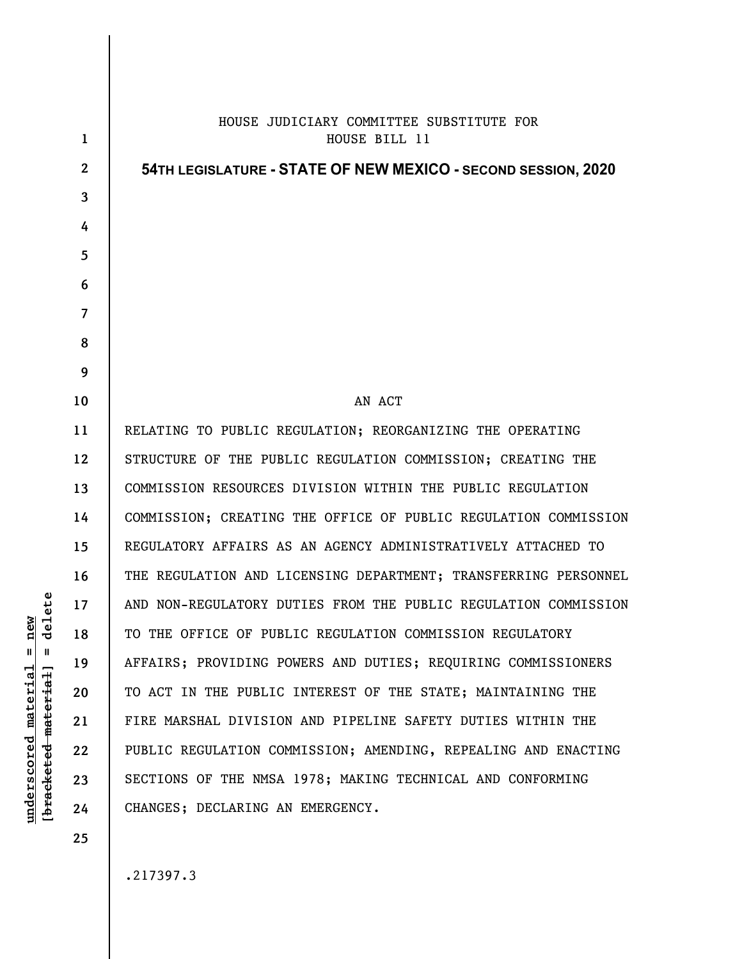| 1                | HOUSE JUDICIARY COMMITTEE SUBSTITUTE FOR<br>HOUSE BILL 11       |
|------------------|-----------------------------------------------------------------|
| $\boldsymbol{2}$ | 54TH LEGISLATURE - STATE OF NEW MEXICO - SECOND SESSION, 2020   |
| 3                |                                                                 |
| 4                |                                                                 |
| 5                |                                                                 |
| 6                |                                                                 |
| 7                |                                                                 |
| 8                |                                                                 |
| 9                |                                                                 |
| 10               | AN ACT                                                          |
|                  |                                                                 |
| 11               | RELATING TO PUBLIC REGULATION; REORGANIZING THE OPERATING       |
| 12               | STRUCTURE OF THE PUBLIC REGULATION COMMISSION; CREATING THE     |
| 13               | COMMISSION RESOURCES DIVISION WITHIN THE PUBLIC REGULATION      |
| 14               | COMMISSION; CREATING THE OFFICE OF PUBLIC REGULATION COMMISSION |
| 15               | REGULATORY AFFAIRS AS AN AGENCY ADMINISTRATIVELY ATTACHED TO    |
| 16               | THE REGULATION AND LICENSING DEPARTMENT; TRANSFERRING PERSONNEL |
| 17               | AND NON-REGULATORY DUTIES FROM THE PUBLIC REGULATION COMMISSION |
| 18               | TO THE OFFICE OF PUBLIC REGULATION COMMISSION REGULATORY        |
| 19               | AFFAIRS; PROVIDING POWERS AND DUTIES; REQUIRING COMMISSIONERS   |
| 20               | TO ACT IN THE PUBLIC INTEREST OF THE STATE; MAINTAINING THE     |
| 21               | FIRE MARSHAL DIVISION AND PIPELINE SAFETY DUTIES WITHIN THE     |
| 22               | PUBLIC REGULATION COMMISSION; AMENDING, REPEALING AND ENACTING  |
| 23               | SECTIONS OF THE NMSA 1978; MAKING TECHNICAL AND CONFORMING      |
| 24               | CHANGES; DECLARING AN EMERGENCY.                                |
| 25               |                                                                 |

.217397.3

 $[$ bracketed material] = delete **[bracketed material] = delete**  $underscored material = new$ **underscored material = new**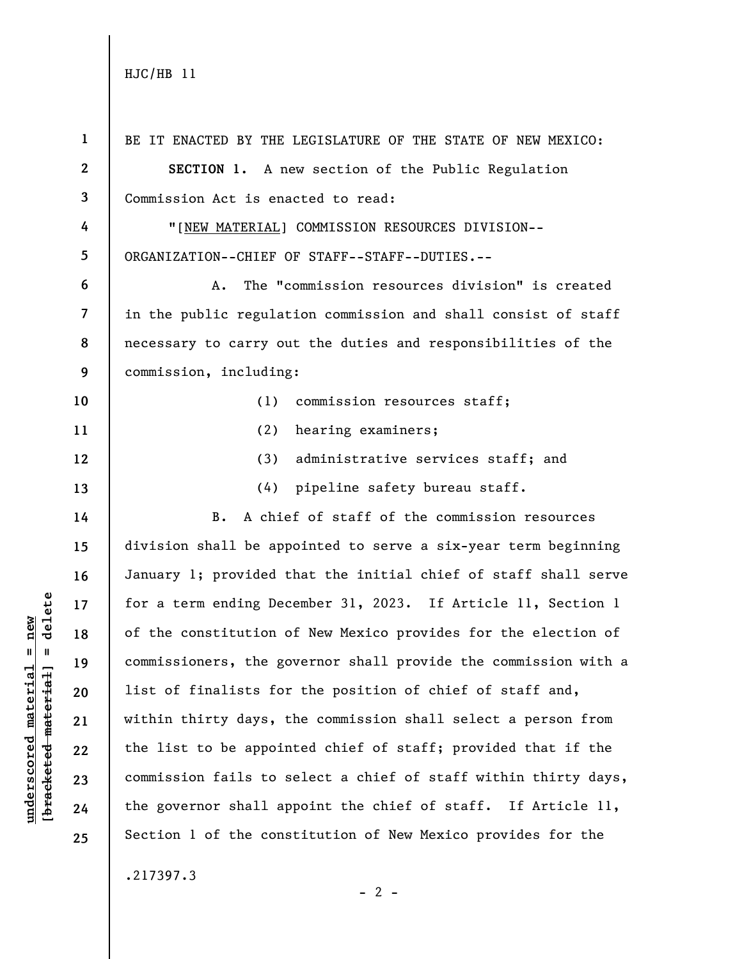| $\mathbf{1}$             | BE IT ENACTED BY THE LEGISLATURE OF THE STATE OF NEW MEXICO:    |
|--------------------------|-----------------------------------------------------------------|
| $\boldsymbol{2}$         | SECTION 1. A new section of the Public Regulation               |
| $\mathbf{3}$             | Commission Act is enacted to read:                              |
| 4                        | "[NEW MATERIAL] COMMISSION RESOURCES DIVISION--                 |
| 5                        | ORGANIZATION--CHIEF OF STAFF--STAFF--DUTIES.--                  |
| 6                        | The "commission resources division" is created<br>Α.            |
| $\overline{\phantom{a}}$ | in the public regulation commission and shall consist of staff  |
| 8                        | necessary to carry out the duties and responsibilities of the   |
| 9                        | commission, including:                                          |
| 10                       | (1)<br>commission resources staff;                              |
| 11                       | hearing examiners;<br>(2)                                       |
| 12                       | administrative services staff; and<br>(3)                       |
| 13                       | pipeline safety bureau staff.<br>(4)                            |
| 14                       | A chief of staff of the commission resources<br>B.              |
| 15                       | division shall be appointed to serve a six-year term beginning  |
| 16                       | January 1; provided that the initial chief of staff shall serve |
| 17                       | for a term ending December 31, 2023. If Article 11, Section 1   |
| 18                       | of the constitution of New Mexico provides for the election of  |
| 19                       | commissioners, the governor shall provide the commission with a |
| 20                       | list of finalists for the position of chief of staff and,       |
| 21                       | within thirty days, the commission shall select a person from   |
| 22                       | the list to be appointed chief of staff; provided that if the   |
| 23                       | commission fails to select a chief of staff within thirty days, |
| 24                       | the governor shall appoint the chief of staff. If Article 11,   |
| 25                       | Section 1 of the constitution of New Mexico provides for the    |
|                          | .217397.3                                                       |

 $\frac{\text{underscored material} = \text{new}}{(\text{bracketed material})}$  =  $\frac{\text{new}}{\text{t}}$ **[bracketed material] = delete underscored material = new**

 $- 2 -$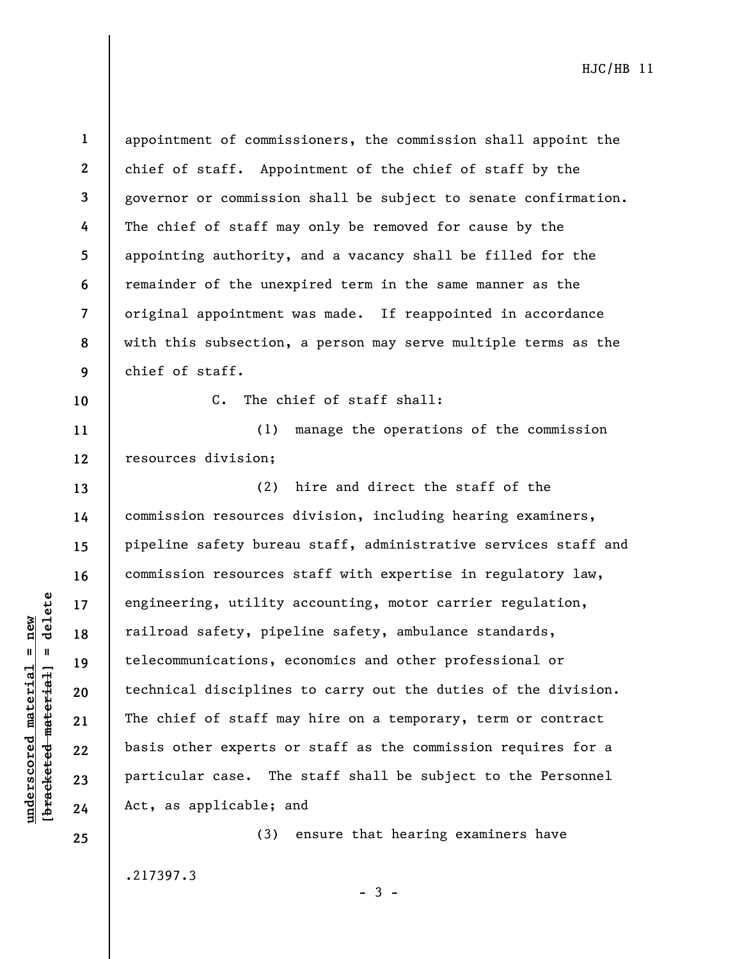$b$ racketed material] = delete **[bracketed material] = delete**  $underscored material = new$ **underscored material = new**

**1 2 3 4 5 6 7 8 9**  appointment of commissioners, the commission shall appoint the chief of staff. Appointment of the chief of staff by the governor or commission shall be subject to senate confirmation. The chief of staff may only be removed for cause by the appointing authority, and a vacancy shall be filled for the remainder of the unexpired term in the same manner as the original appointment was made. If reappointed in accordance with this subsection, a person may serve multiple terms as the chief of staff.

**10** 

**13** 

**14** 

**15** 

**16** 

**17** 

**18** 

**19** 

**20** 

**21** 

**22** 

**23** 

**24** 

**25** 

C. The chief of staff shall:

**11 12**  (1) manage the operations of the commission resources division;

(2) hire and direct the staff of the commission resources division, including hearing examiners, pipeline safety bureau staff, administrative services staff and commission resources staff with expertise in regulatory law, engineering, utility accounting, motor carrier regulation, railroad safety, pipeline safety, ambulance standards, telecommunications, economics and other professional or technical disciplines to carry out the duties of the division. The chief of staff may hire on a temporary, term or contract basis other experts or staff as the commission requires for a particular case. The staff shall be subject to the Personnel Act, as applicable; and

.217397.3

 $-3 -$ 

(3) ensure that hearing examiners have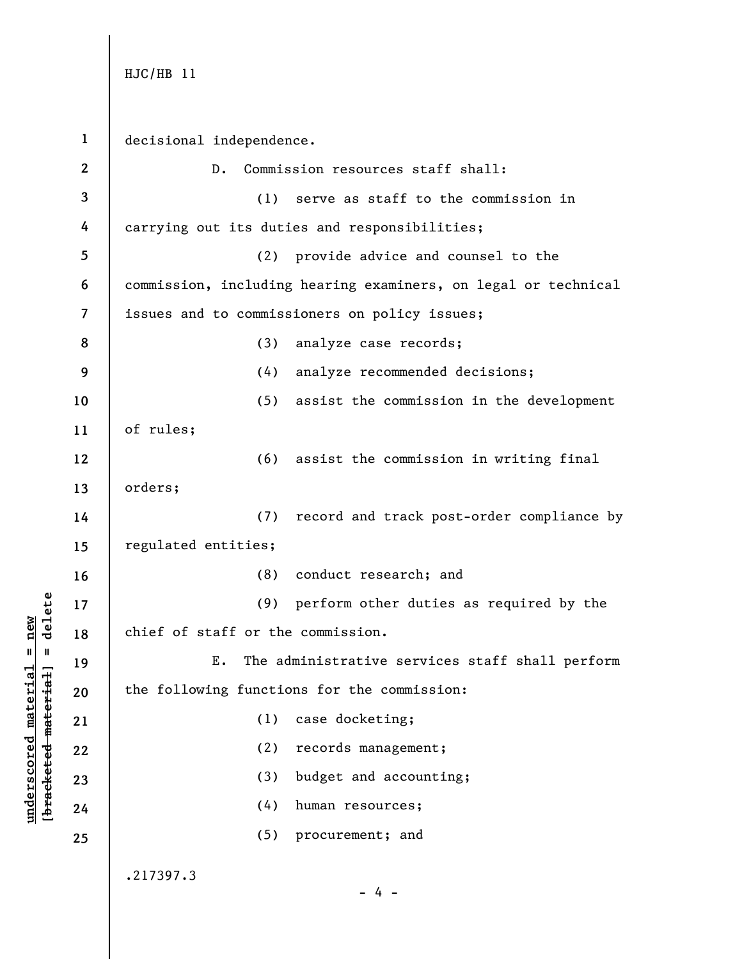**underscored material = new [bracketed material] = delete**

 $b$ racketed material = delete  $underscored material = new$ 

**1 2 3 4 5 6 7 8 9 10 11 12 13 14 15 16 17 18 19 20 21 22 23 24 25**  decisional independence. D. Commission resources staff shall: (1) serve as staff to the commission in carrying out its duties and responsibilities; (2) provide advice and counsel to the commission, including hearing examiners, on legal or technical issues and to commissioners on policy issues; (3) analyze case records; (4) analyze recommended decisions; (5) assist the commission in the development of rules; (6) assist the commission in writing final orders; (7) record and track post-order compliance by regulated entities; (8) conduct research; and (9) perform other duties as required by the chief of staff or the commission. E. The administrative services staff shall perform the following functions for the commission: (1) case docketing; (2) records management; (3) budget and accounting; (4) human resources; (5) procurement; and .217397.3  $- 4 -$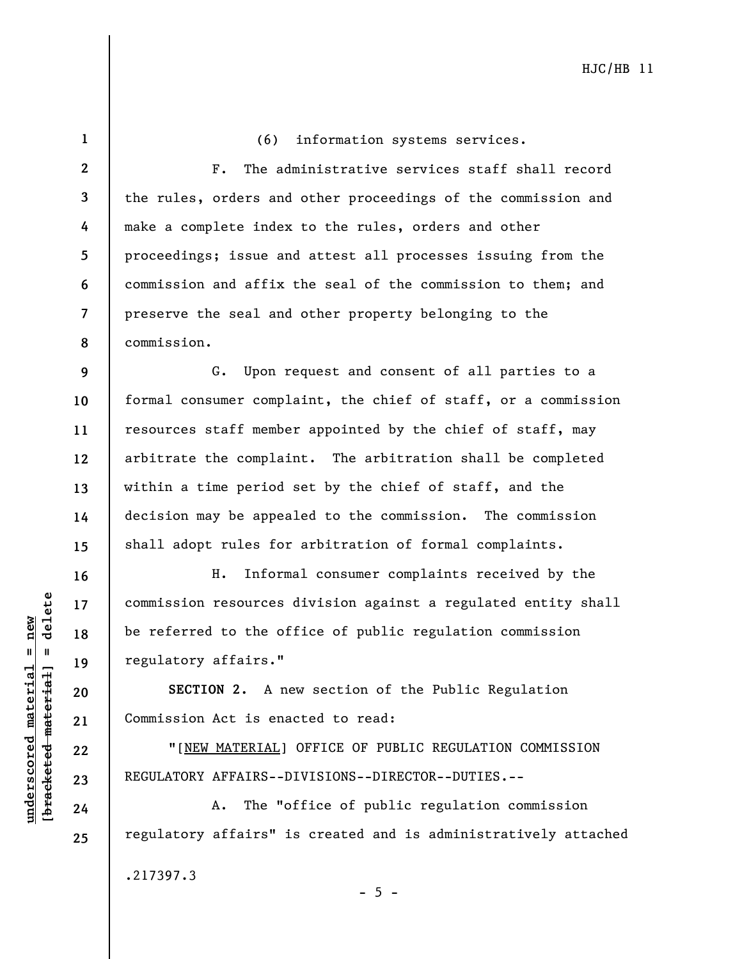| $\mathbf{1}$             | (6) information systems services.                               |
|--------------------------|-----------------------------------------------------------------|
| $\mathbf{2}$             | The administrative services staff shall record<br>$F_{\bullet}$ |
| $\overline{\mathbf{3}}$  | the rules, orders and other proceedings of the commission and   |
| 4                        | make a complete index to the rules, orders and other            |
| 5                        | proceedings; issue and attest all processes issuing from the    |
| 6                        | commission and affix the seal of the commission to them; and    |
| $\overline{\phantom{a}}$ | preserve the seal and other property belonging to the           |
| 8                        | commission.                                                     |
| 9                        | G. Upon request and consent of all parties to a                 |
| 10                       | formal consumer complaint, the chief of staff, or a commission  |
| 11                       | resources staff member appointed by the chief of staff, may     |
| 12                       | arbitrate the complaint. The arbitration shall be completed     |
| 13                       | within a time period set by the chief of staff, and the         |
| 14                       | decision may be appealed to the commission. The commission      |
| 15                       | shall adopt rules for arbitration of formal complaints.         |
| 16                       | Informal consumer complaints received by the<br>н.              |
| 17                       | commission resources division against a regulated entity shall  |
| 18                       | be referred to the office of public regulation commission       |
| 19                       | regulatory affairs."                                            |
| 20                       | SECTION 2. A new section of the Public Regulation               |
| 21                       | Commission Act is enacted to read:                              |
| 22                       | "[NEW MATERIAL] OFFICE OF PUBLIC REGULATION COMMISSION          |
| 23                       | REGULATORY AFFAIRS--DIVISIONS--DIRECTOR--DUTIES.--              |

A. The "office of public regulation commission regulatory affairs" is created and is administratively attached

- 5 -

.217397.3

 $[**brace** etc.**et mat er int**  $1 =$  **delete**$ **[bracketed material] = delete**  $underscored material = new$ **underscored material = new**

**24**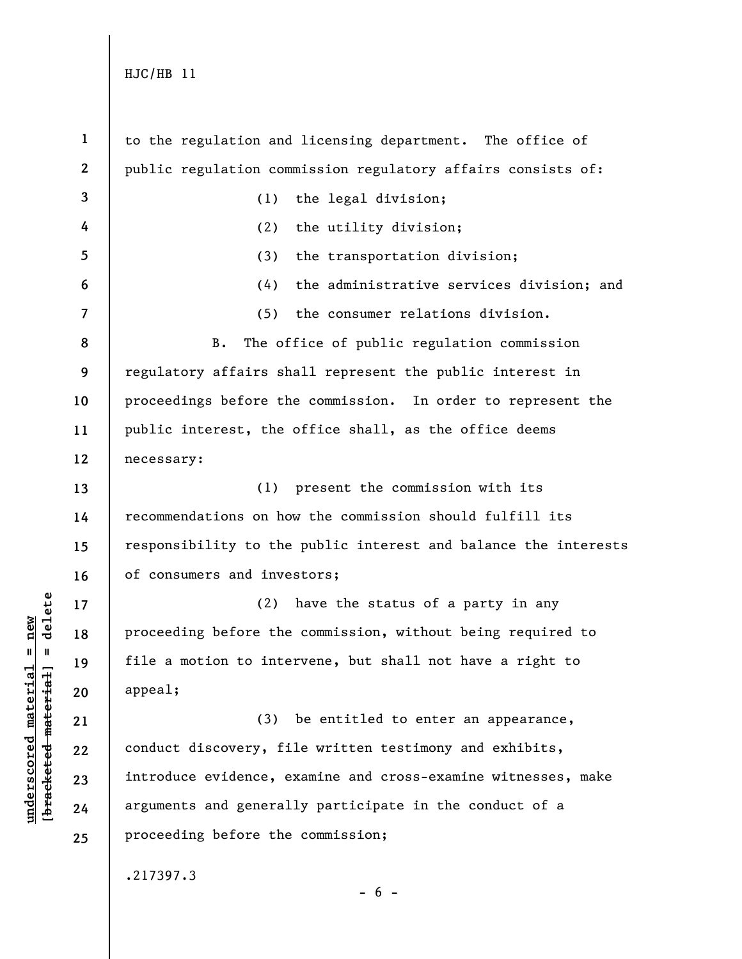**1 2 3 4 5 6 7 8 9 10 11 12 13 14 15 16 17 18 19 20 21 22 23 24 25**  to the regulation and licensing department. The office of public regulation commission regulatory affairs consists of: (1) the legal division; (2) the utility division; (3) the transportation division; (4) the administrative services division; and (5) the consumer relations division. B. The office of public regulation commission regulatory affairs shall represent the public interest in proceedings before the commission. In order to represent the public interest, the office shall, as the office deems necessary: (1) present the commission with its recommendations on how the commission should fulfill its responsibility to the public interest and balance the interests of consumers and investors; (2) have the status of a party in any proceeding before the commission, without being required to file a motion to intervene, but shall not have a right to appeal; (3) be entitled to enter an appearance, conduct discovery, file written testimony and exhibits, introduce evidence, examine and cross-examine witnesses, make arguments and generally participate in the conduct of a proceeding before the commission; .217397.3

 $b$ racketed material] = delete **[bracketed material] = delete**  $underscored material = new$ **underscored material = new**

 $- 6 -$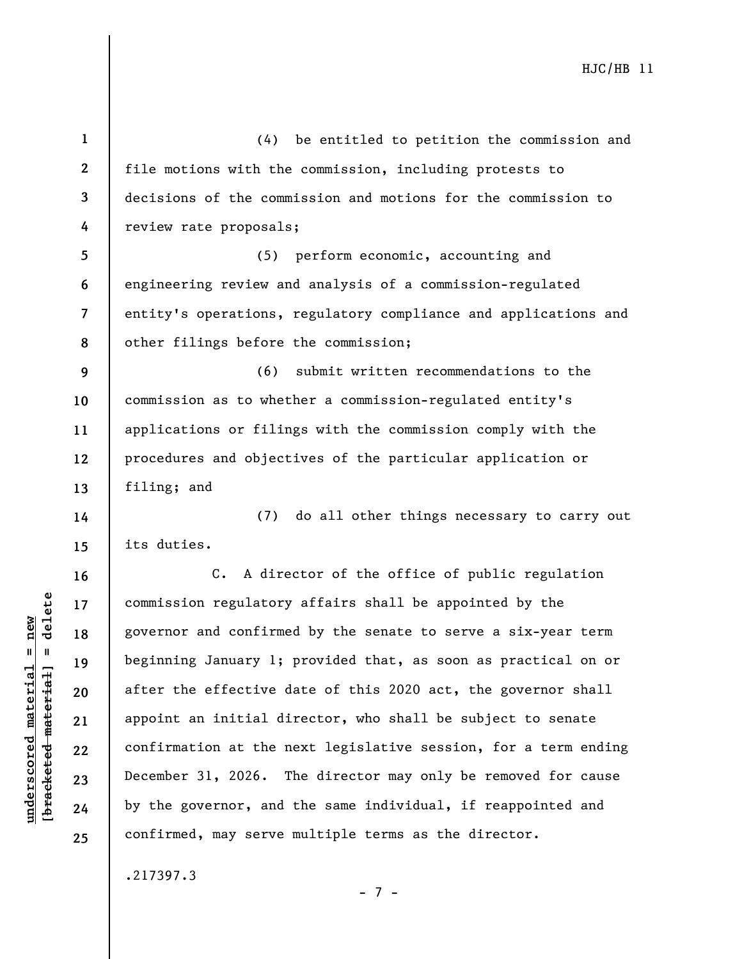**1 2 3 4 5 6 7 8 9 10 11 12 13 14 15 16 17 18 19 20 21 22 23 24 25**  (4) be entitled to petition the commission and file motions with the commission, including protests to decisions of the commission and motions for the commission to review rate proposals; (5) perform economic, accounting and engineering review and analysis of a commission-regulated entity's operations, regulatory compliance and applications and other filings before the commission; (6) submit written recommendations to the commission as to whether a commission-regulated entity's applications or filings with the commission comply with the procedures and objectives of the particular application or filing; and (7) do all other things necessary to carry out its duties. C. A director of the office of public regulation commission regulatory affairs shall be appointed by the governor and confirmed by the senate to serve a six-year term beginning January 1; provided that, as soon as practical on or after the effective date of this 2020 act, the governor shall appoint an initial director, who shall be subject to senate confirmation at the next legislative session, for a term ending December 31, 2026. The director may only be removed for cause by the governor, and the same individual, if reappointed and confirmed, may serve multiple terms as the director.

.217397.3

**underscored material = new [bracketed material] = delete**

 $b$ racketed material] = delete  $underscored material = new$ 

- 7 -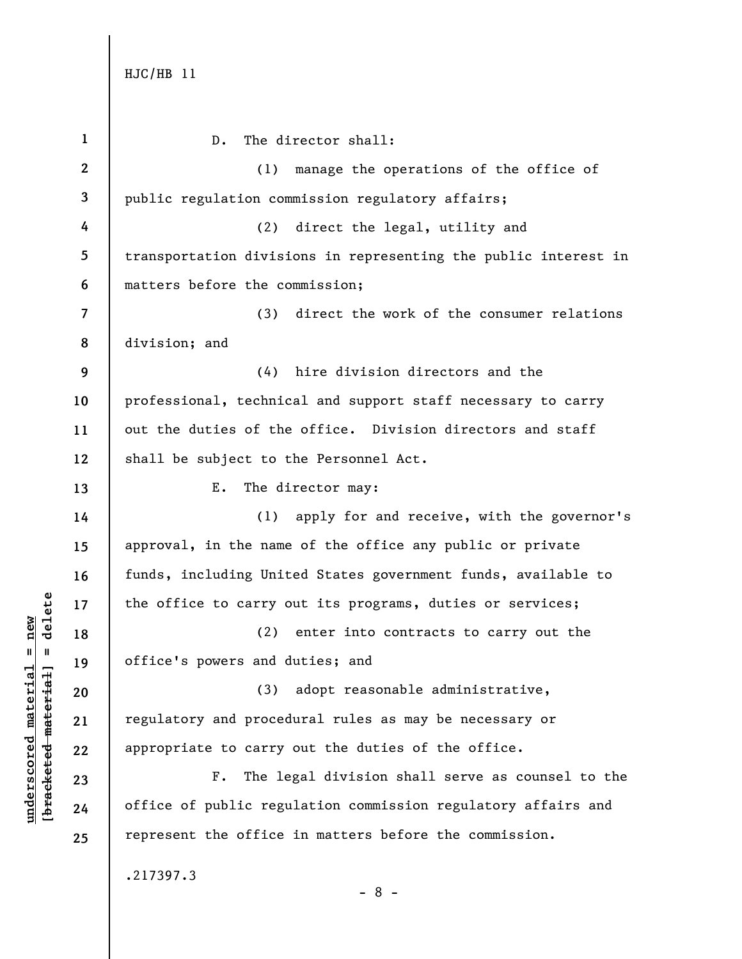**underscored material = new [bracketed material] = delete**

 $\frac{\text{underscored material} = \text{new}}{(\text{bracketed material})}$  =  $\frac{\text{new}}{\text{t}}$ 

| $\mathbf{1}$   | The director shall:<br>$D$ .                                    |
|----------------|-----------------------------------------------------------------|
| $\mathbf{2}$   | manage the operations of the office of<br>(1)                   |
| 3              | public regulation commission regulatory affairs;                |
| 4              | direct the legal, utility and<br>(2)                            |
| 5              | transportation divisions in representing the public interest in |
| 6              | matters before the commission;                                  |
| $\overline{7}$ | (3) direct the work of the consumer relations                   |
| 8              | division; and                                                   |
| 9              | hire division directors and the<br>(4)                          |
| 10             | professional, technical and support staff necessary to carry    |
| 11             | out the duties of the office. Division directors and staff      |
| 12             | shall be subject to the Personnel Act.                          |
| 13             | The director may:<br>E.                                         |
| 14             | (1) apply for and receive, with the governor's                  |
| 15             | approval, in the name of the office any public or private       |
| 16             | funds, including United States government funds, available to   |
| 17             | the office to carry out its programs, duties or services;       |
| 18             | (2) enter into contracts to carry out the                       |
| 19             | office's powers and duties; and                                 |
| 20             | adopt reasonable administrative,<br>(3)                         |
| 21             | regulatory and procedural rules as may be necessary or          |
| 22             | appropriate to carry out the duties of the office.              |
| 23             | The legal division shall serve as counsel to the<br>$F$ .       |
| 24             | office of public regulation commission regulatory affairs and   |
| 25             | represent the office in matters before the commission.          |
|                | .217397.3<br>$-8 -$                                             |
|                |                                                                 |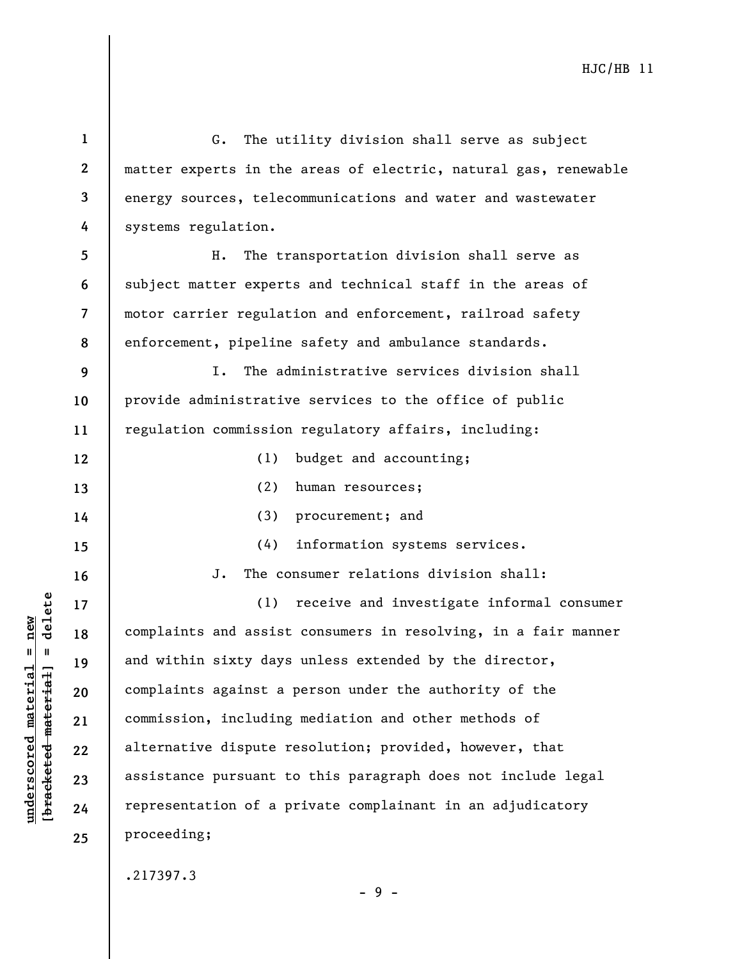| $\mathbf{1}$            | The utility division shall serve as subject<br>G.               |
|-------------------------|-----------------------------------------------------------------|
| $\mathbf{2}$            | matter experts in the areas of electric, natural gas, renewable |
| 3                       | energy sources, telecommunications and water and wastewater     |
| 4                       | systems regulation.                                             |
| 5                       | The transportation division shall serve as<br>Η.                |
| 6                       | subject matter experts and technical staff in the areas of      |
| $\overline{\mathbf{z}}$ | motor carrier regulation and enforcement, railroad safety       |
| 8                       | enforcement, pipeline safety and ambulance standards.           |
| 9                       | The administrative services division shall<br>I.                |
| 10                      | provide administrative services to the office of public         |
| 11                      | regulation commission regulatory affairs, including:            |
| 12                      | budget and accounting;<br>(1)                                   |
| 13                      | (2)<br>human resources;                                         |
| 14                      | (3)<br>procurement; and                                         |
| 15                      | information systems services.<br>(4)                            |
| 16                      | The consumer relations division shall:<br>J.                    |
| 17                      | (1) receive and investigate informal consumer                   |
| 18                      | complaints and assist consumers in resolving, in a fair manner  |
| 19                      | and within sixty days unless extended by the director,          |
| 20                      | complaints against a person under the authority of the          |
| 21                      | commission, including mediation and other methods of            |
| 22                      | alternative dispute resolution; provided, however, that         |
| 23                      | assistance pursuant to this paragraph does not include legal    |
| 24                      | representation of a private complainant in an adjudicatory      |
| 25                      | proceeding;                                                     |
|                         | .217397.3                                                       |

**underscored material = new [bracketed material] = delete**

 $[**bracket**et~~eted matcherial~~] = **delete**$  $underscored material = new$ 

- 9 -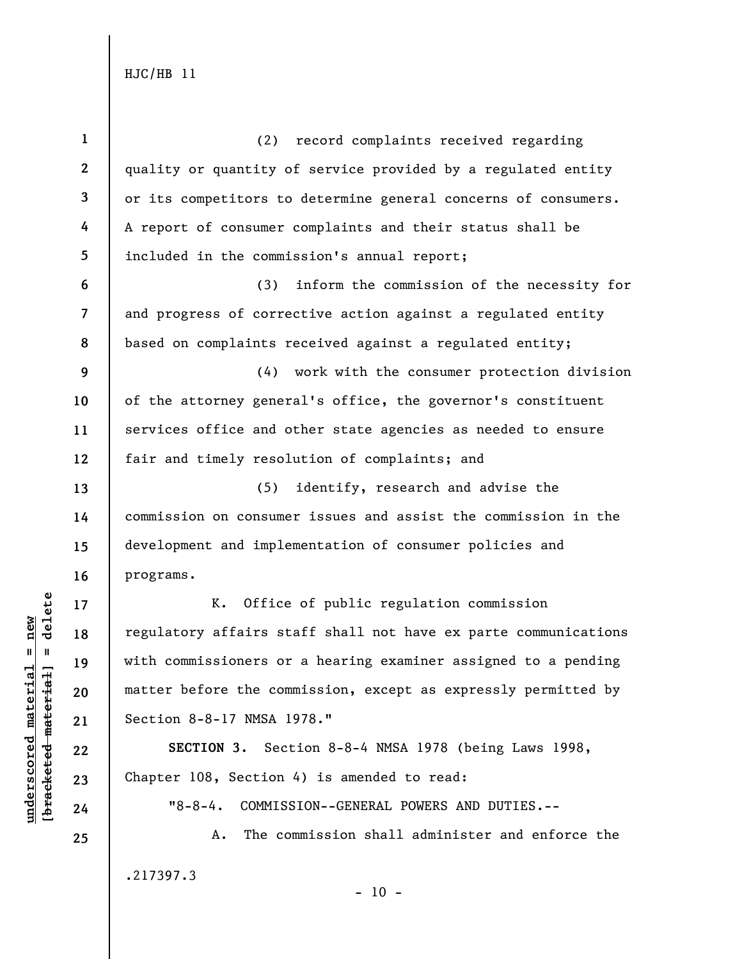| $\mathbf{1}$     | (2)<br>record complaints received regarding                     |
|------------------|-----------------------------------------------------------------|
| $\boldsymbol{2}$ | quality or quantity of service provided by a regulated entity   |
| 3                | or its competitors to determine general concerns of consumers.  |
| 4                | A report of consumer complaints and their status shall be       |
| 5                | included in the commission's annual report;                     |
| 6                | (3)<br>inform the commission of the necessity for               |
| $\overline{7}$   | and progress of corrective action against a regulated entity    |
| 8                | based on complaints received against a regulated entity;        |
| 9                | (4) work with the consumer protection division                  |
| 10               | of the attorney general's office, the governor's constituent    |
| 11               | services office and other state agencies as needed to ensure    |
| 12               | fair and timely resolution of complaints; and                   |
| 13               | (5)<br>identify, research and advise the                        |
| 14               | commission on consumer issues and assist the commission in the  |
| 15               | development and implementation of consumer policies and         |
| 16               | programs.                                                       |
| 17               | Office of public regulation commission<br>K.                    |
| 18               | regulatory affairs staff shall not have ex parte communications |
| 19               | with commissioners or a hearing examiner assigned to a pending  |
| 20               | matter before the commission, except as expressly permitted by  |
| 21               | Section 8-8-17 NMSA 1978."                                      |
| 22               | SECTION 3. Section 8-8-4 NMSA 1978 (being Laws 1998,            |
| 23               | Chapter 108, Section 4) is amended to read:                     |
| 24               | $"8 - 8 - 4.$<br>COMMISSION--GENERAL POWERS AND DUTIES.--       |
| 25               | The commission shall administer and enforce the<br>Α.           |

.217397.3

**underscored material = new [bracketed material] = delete**

 $[**bracket**et~~eted matcherial~~] = **delete**$  $underscored material = new$ 

- 10 -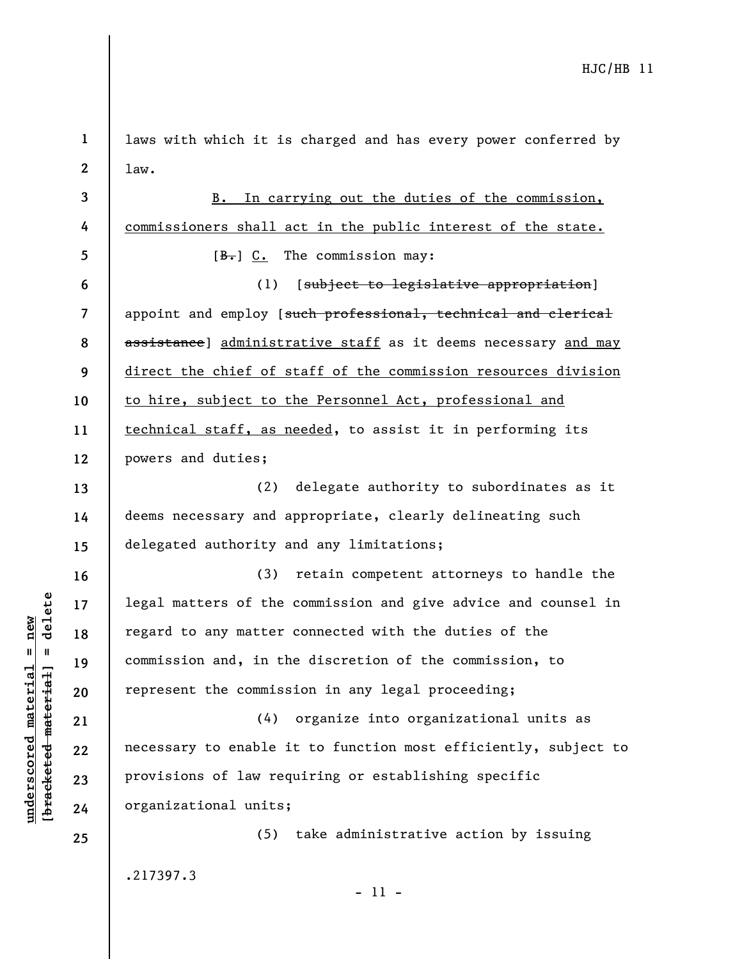| $\mathbf 1$    | laws with which it is charged and has every power conferred by  |
|----------------|-----------------------------------------------------------------|
| $\mathbf{2}$   | 1aw.                                                            |
| 3              | B. In carrying out the duties of the commission,                |
| 4              | commissioners shall act in the public interest of the state.    |
| 5              | $[\frac{B-}{C}$ C. The commission may:                          |
| 6              | (1)<br>[subject to legislative appropriation]                   |
| $\overline{7}$ | appoint and employ [such professional, technical and clerical   |
| 8              | assistance] administrative staff as it deems necessary and may  |
| 9              | direct the chief of staff of the commission resources division  |
| 10             | to hire, subject to the Personnel Act, professional and         |
| 11             | technical staff, as needed, to assist it in performing its      |
| 12             | powers and duties;                                              |
| 13             | delegate authority to subordinates as it<br>(2)                 |
| 14             | deems necessary and appropriate, clearly delineating such       |
| 15             | delegated authority and any limitations;                        |
| 16             | retain competent attorneys to handle the<br>(3)                 |
| 17             | legal matters of the commission and give advice and counsel in  |
| 18             | regard to any matter connected with the duties of the           |
| 19             | commission and, in the discretion of the commission, to         |
| 20             | represent the commission in any legal proceeding;               |
| 21             | organize into organizational units as<br>(4)                    |
| 22             | necessary to enable it to function most efficiently, subject to |
| 23             | provisions of law requiring or establishing specific            |
| 24             | organizational units;                                           |
| 25             | (5) take administrative action by issuing                       |
|                | .217397.3                                                       |
|                | $-11 -$                                                         |

 $\frac{\text{underscored material} = \text{new}}{(\text{bracketed material})}$  =  $\frac{\text{new}}{\text{t}}$ **[bracketed material] = delete underscored material = new**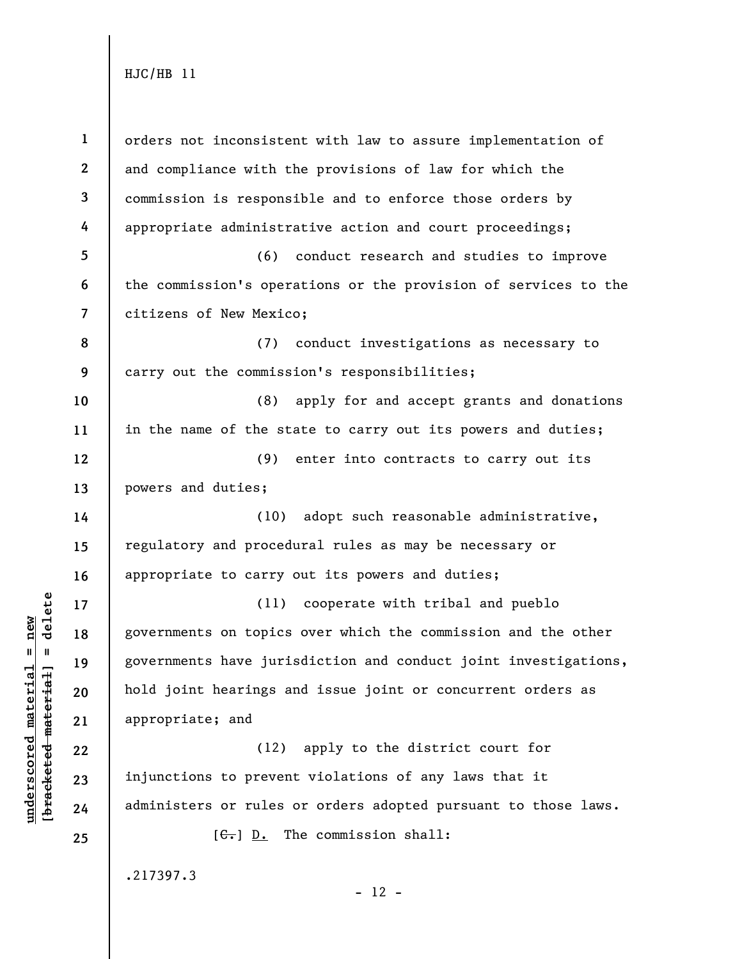**underscored material = new [bracketed material] = delete**

 $b$ racketed material] = delete  $underscored material = new$ 

**1 2 3 4 5 6 7 8 9 10 11 12 13 14 15 16 17 18 19 20 21 22 23 24 25**  orders not inconsistent with law to assure implementation of and compliance with the provisions of law for which the commission is responsible and to enforce those orders by appropriate administrative action and court proceedings; (6) conduct research and studies to improve the commission's operations or the provision of services to the citizens of New Mexico; (7) conduct investigations as necessary to carry out the commission's responsibilities; (8) apply for and accept grants and donations in the name of the state to carry out its powers and duties; (9) enter into contracts to carry out its powers and duties; (10) adopt such reasonable administrative, regulatory and procedural rules as may be necessary or appropriate to carry out its powers and duties; (11) cooperate with tribal and pueblo governments on topics over which the commission and the other governments have jurisdiction and conduct joint investigations, hold joint hearings and issue joint or concurrent orders as appropriate; and (12) apply to the district court for injunctions to prevent violations of any laws that it administers or rules or orders adopted pursuant to those laws.  $[G<sub>1</sub>]$  D. The commission shall: .217397.3  $- 12 -$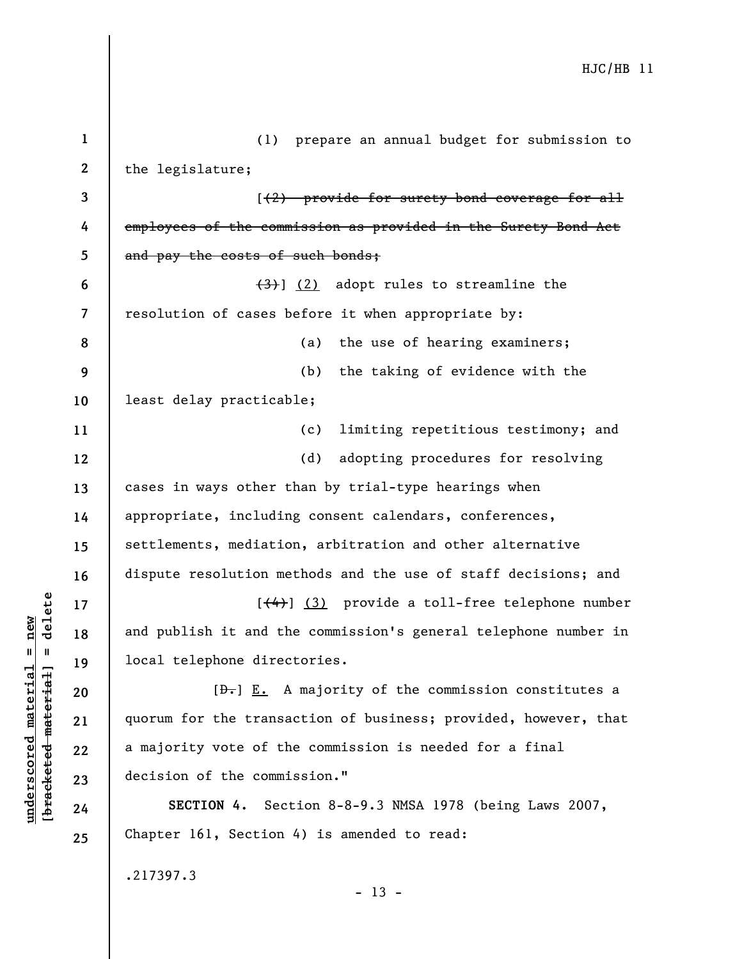| $\mathbf{1}$            | (1) prepare an annual budget for submission to                  |
|-------------------------|-----------------------------------------------------------------|
| $\mathbf{2}$            | the legislature;                                                |
| 3                       | $(2)$ provide for surety bond coverage for all                  |
| 4                       | employees of the commission as provided in the Surety Bond Act  |
| 5                       | and pay the costs of such bonds;                                |
| 6                       | $\left(\frac{1}{2}\right)$ (2) adopt rules to streamline the    |
| $\overline{\mathbf{z}}$ | resolution of cases before it when appropriate by:              |
| 8                       | the use of hearing examiners;<br>(a)                            |
| 9                       | the taking of evidence with the<br>(b)                          |
| 10                      | least delay practicable;                                        |
| 11                      | limiting repetitious testimony; and<br>(c)                      |
| 12                      | adopting procedures for resolving<br>(d)                        |
| 13                      | cases in ways other than by trial-type hearings when            |
| 14                      | appropriate, including consent calendars, conferences,          |
| 15                      | settlements, mediation, arbitration and other alternative       |
| 16                      | dispute resolution methods and the use of staff decisions; and  |
| 17                      | [(4)] (3) provide a toll-free telephone number                  |
| 18                      | and publish it and the commission's general telephone number in |
| 19                      | local telephone directories.                                    |
| 20                      | $[\frac{D-1}{2}]$ E. A majority of the commission constitutes a |
| 21                      | quorum for the transaction of business; provided, however, that |
| 22                      | a majority vote of the commission is needed for a final         |
| 23                      | decision of the commission."                                    |
| 24                      | SECTION 4. Section 8-8-9.3 NMSA 1978 (being Laws 2007,          |
| 25                      | Chapter 161, Section 4) is amended to read:                     |
|                         | .217397.3                                                       |
|                         | $-13 -$                                                         |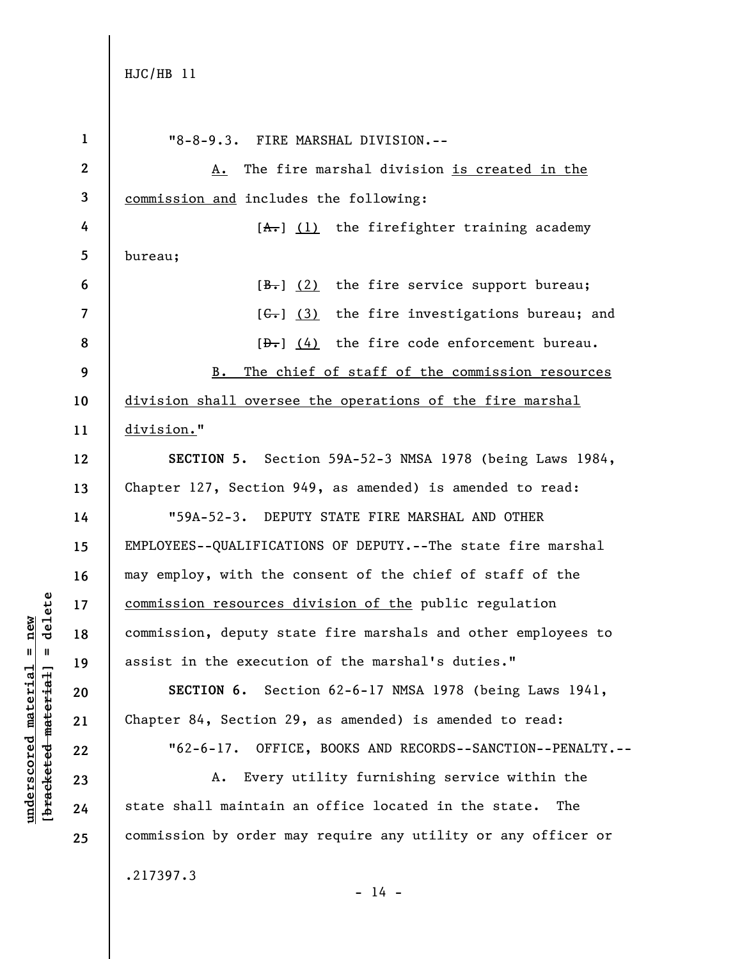```
HJC/HB 11
```

| $\mathbf{1}$             | "8-8-9.3. FIRE MARSHAL DIVISION.--                             |
|--------------------------|----------------------------------------------------------------|
| $\mathbf{2}$             | A. The fire marshal division is created in the                 |
| 3                        | commission and includes the following:                         |
| 4                        | $[A1]$ (1) the firefighter training academy                    |
| 5                        | bureau;                                                        |
| 6                        | $[\frac{B-}{C}]$ (2) the fire service support bureau;          |
| $\overline{\phantom{a}}$ | $[\leftarrow, 3)$ the fire investigations bureau; and          |
| 8                        | $[\frac{b}{c}, \frac{d}{d}]$ the fire code enforcement bureau. |
| 9                        | B. The chief of staff of the commission resources              |
| 10                       | division shall oversee the operations of the fire marshal      |
| 11                       | division."                                                     |
| 12                       | SECTION 5. Section 59A-52-3 NMSA 1978 (being Laws 1984,        |
| 13                       | Chapter 127, Section 949, as amended) is amended to read:      |
| 14                       | "59A-52-3. DEPUTY STATE FIRE MARSHAL AND OTHER                 |
| 15                       | EMPLOYEES--QUALIFICATIONS OF DEPUTY.--The state fire marshal   |
| 16                       | may employ, with the consent of the chief of staff of the      |
| 17                       | commission resources division of the public regulation         |
| 18                       | commission, deputy state fire marshals and other employees to  |
| 19                       | assist in the execution of the marshal's duties."              |
| 20                       | SECTION 6. Section 62-6-17 NMSA 1978 (being Laws 1941,         |
| 21                       | Chapter 84, Section 29, as amended) is amended to read:        |
| 22                       | "62-6-17. OFFICE, BOOKS AND RECORDS--SANCTION--PENALTY.--      |
| 23                       | Every utility furnishing service within the<br>А.              |
| 24                       | state shall maintain an office located in the state.<br>The    |
| 25                       | commission by order may require any utility or any officer or  |
|                          | .217397.3<br>$-14 -$                                           |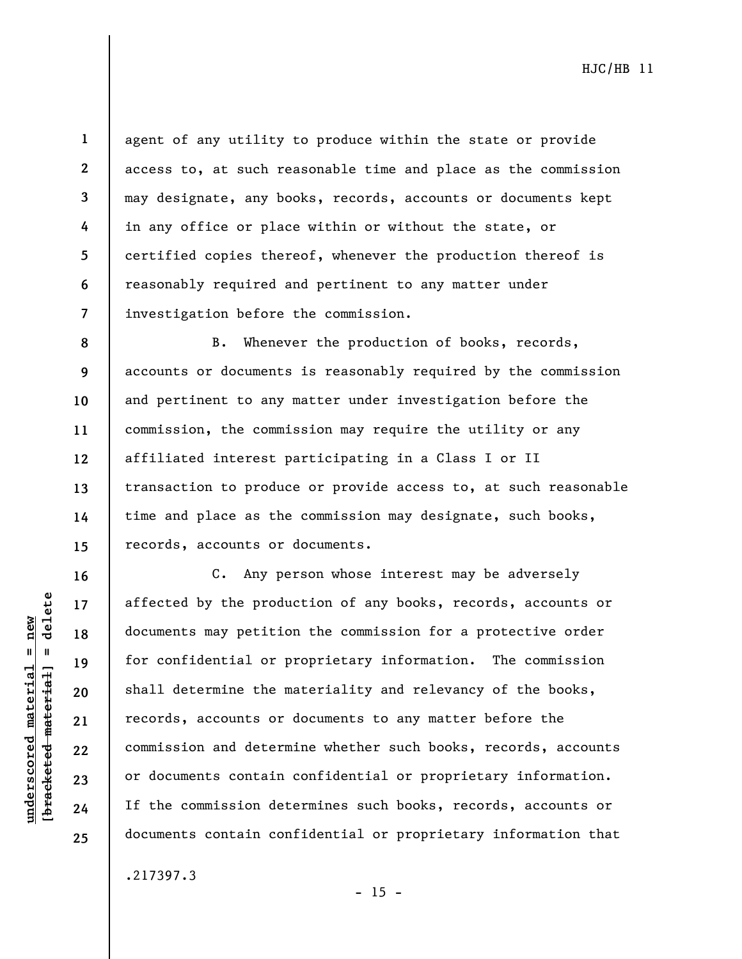$b$ racketed material] = delete **[bracketed material] = delete**  $underscored material = new$ **underscored material = new**

**16** 

**17** 

**18** 

**19** 

**20** 

**21** 

**22** 

**23** 

**24** 

**25** 

**1 2 3 4 5 6 7**  agent of any utility to produce within the state or provide access to, at such reasonable time and place as the commission may designate, any books, records, accounts or documents kept in any office or place within or without the state, or certified copies thereof, whenever the production thereof is reasonably required and pertinent to any matter under investigation before the commission.

**8 9 10 11 12 13 14 15**  B. Whenever the production of books, records, accounts or documents is reasonably required by the commission and pertinent to any matter under investigation before the commission, the commission may require the utility or any affiliated interest participating in a Class I or II transaction to produce or provide access to, at such reasonable time and place as the commission may designate, such books, records, accounts or documents.

C. Any person whose interest may be adversely affected by the production of any books, records, accounts or documents may petition the commission for a protective order for confidential or proprietary information. The commission shall determine the materiality and relevancy of the books, records, accounts or documents to any matter before the commission and determine whether such books, records, accounts or documents contain confidential or proprietary information. If the commission determines such books, records, accounts or documents contain confidential or proprietary information that

.217397.3

 $- 15 -$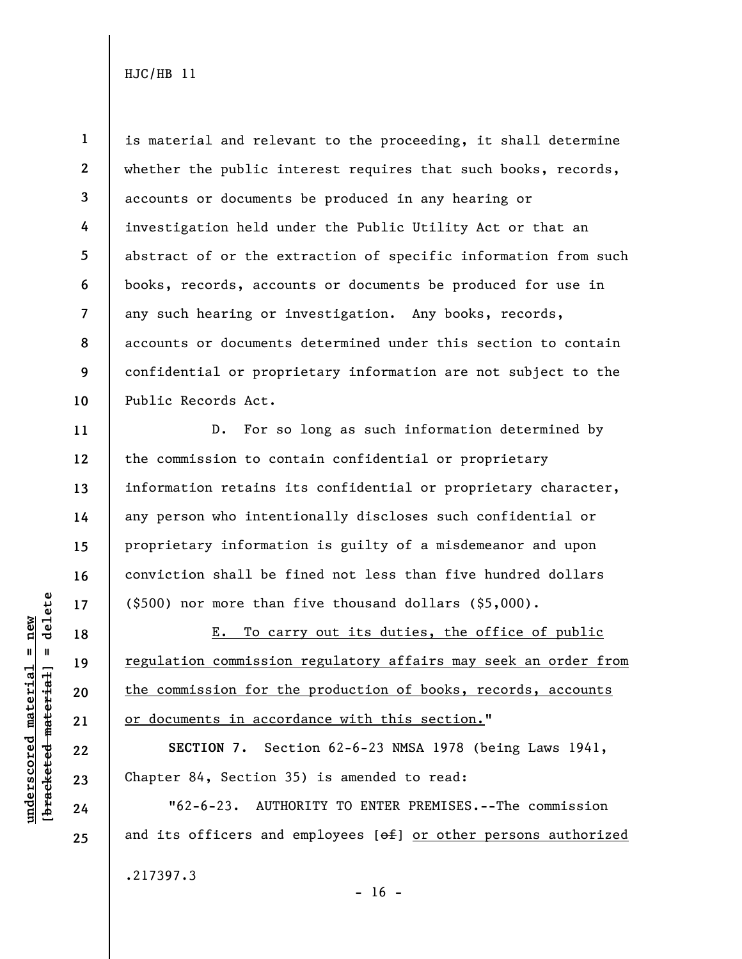**1 2 3 4 5 6 7 8 9 10**  is material and relevant to the proceeding, it shall determine whether the public interest requires that such books, records, accounts or documents be produced in any hearing or investigation held under the Public Utility Act or that an abstract of or the extraction of specific information from such books, records, accounts or documents be produced for use in any such hearing or investigation. Any books, records, accounts or documents determined under this section to contain confidential or proprietary information are not subject to the Public Records Act.

D. For so long as such information determined by the commission to contain confidential or proprietary information retains its confidential or proprietary character, any person who intentionally discloses such confidential or proprietary information is guilty of a misdemeanor and upon conviction shall be fined not less than five hundred dollars (\$500) nor more than five thousand dollars (\$5,000).

E. To carry out its duties, the office of public regulation commission regulatory affairs may seek an order from the commission for the production of books, records, accounts or documents in accordance with this section."

**SECTION 7.** Section 62-6-23 NMSA 1978 (being Laws 1941, Chapter 84, Section 35) is amended to read:

"62-6-23. AUTHORITY TO ENTER PREMISES.--The commission and its officers and employees  $[ $\theta$  +  $\theta$ ] or other persons authorized$ .217397.3

 $\frac{1}{2}$  are the text material = delete **[bracketed material] = delete**  $underscored material = new$ **underscored material = new**

**11** 

**12** 

**13** 

**14** 

**15** 

**16** 

**17** 

**18** 

**19** 

**20** 

**21** 

**22** 

**23** 

**24**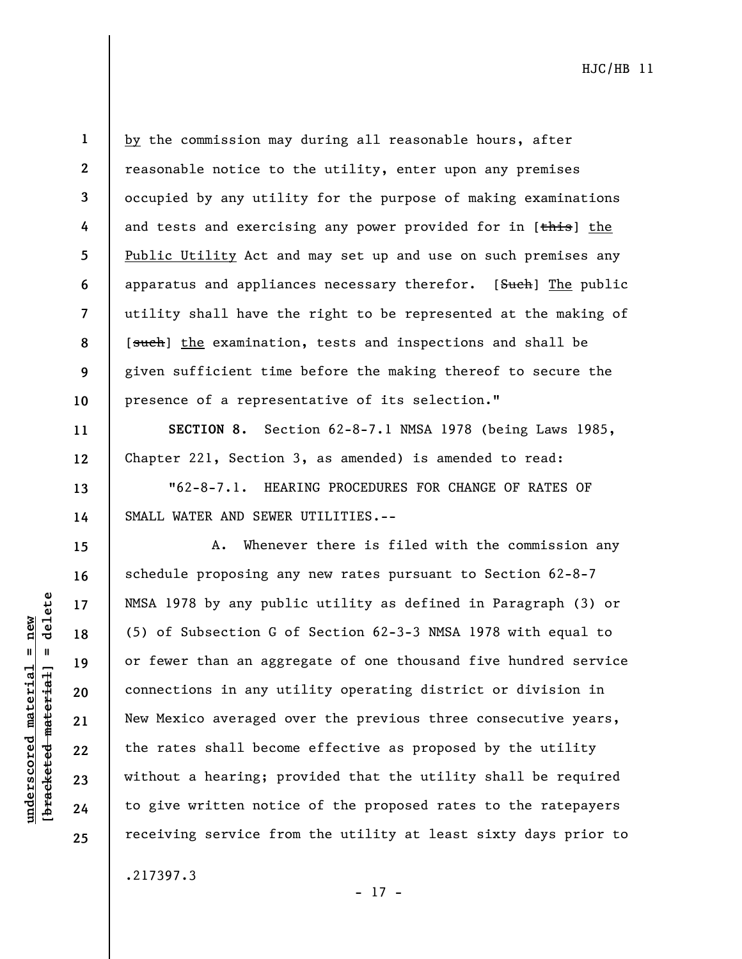**20** 

**21** 

**22** 

**23** 

**24** 

**25** 

**underscored material = new [bracketed material] = delete**

 $underscored material = new$ 

delete

 $\mathbf{I}$ 

bracketed material

**1 2 3**  by the commission may during all reasonable hours, after reasonable notice to the utility, enter upon any premises occupied by any utility for the purpose of making examinations and tests and exercising any power provided for in [this] the Public Utility Act and may set up and use on such premises any apparatus and appliances necessary therefor. [Such] The public utility shall have the right to be represented at the making of [such] the examination, tests and inspections and shall be given sufficient time before the making thereof to secure the presence of a representative of its selection."

**SECTION 8.** Section 62-8-7.1 NMSA 1978 (being Laws 1985, Chapter 221, Section 3, as amended) is amended to read:

"62-8-7.1. HEARING PROCEDURES FOR CHANGE OF RATES OF SMALL WATER AND SEWER UTILITIES.--

A. Whenever there is filed with the commission any schedule proposing any new rates pursuant to Section 62-8-7 NMSA 1978 by any public utility as defined in Paragraph (3) or (5) of Subsection G of Section 62-3-3 NMSA 1978 with equal to or fewer than an aggregate of one thousand five hundred service connections in any utility operating district or division in New Mexico averaged over the previous three consecutive years, the rates shall become effective as proposed by the utility without a hearing; provided that the utility shall be required to give written notice of the proposed rates to the ratepayers receiving service from the utility at least sixty days prior to

.217397.3

- 17 -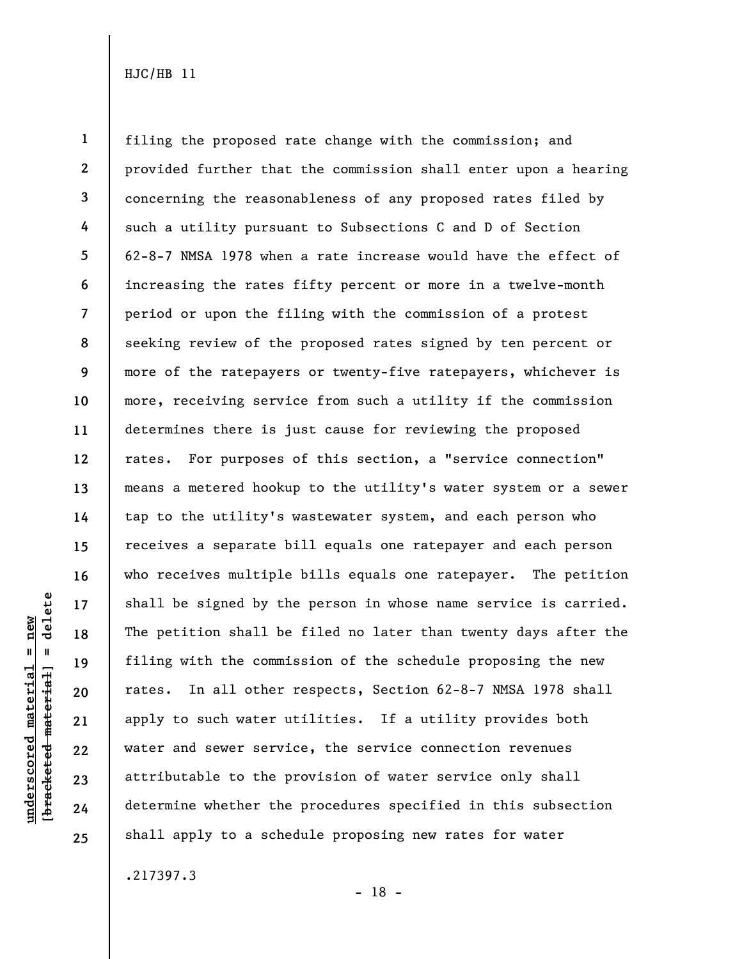**1 2 3 4 5 6 7 8 9 10 11 12 13 14 15 16 17 18 19 20 21 22 23 24 25**  filing the proposed rate change with the commission; and provided further that the commission shall enter upon a hearing concerning the reasonableness of any proposed rates filed by such a utility pursuant to Subsections C and D of Section 62-8-7 NMSA 1978 when a rate increase would have the effect of increasing the rates fifty percent or more in a twelve-month period or upon the filing with the commission of a protest seeking review of the proposed rates signed by ten percent or more of the ratepayers or twenty-five ratepayers, whichever is more, receiving service from such a utility if the commission determines there is just cause for reviewing the proposed rates. For purposes of this section, a "service connection" means a metered hookup to the utility's water system or a sewer tap to the utility's wastewater system, and each person who receives a separate bill equals one ratepayer and each person who receives multiple bills equals one ratepayer. The petition shall be signed by the person in whose name service is carried. The petition shall be filed no later than twenty days after the filing with the commission of the schedule proposing the new rates. In all other respects, Section 62-8-7 NMSA 1978 shall apply to such water utilities. If a utility provides both water and sewer service, the service connection revenues attributable to the provision of water service only shall determine whether the procedures specified in this subsection shall apply to a schedule proposing new rates for water

.217397.3

**underscored material = new [bracketed material] = delete**

 $underscored material = new$ 

delete

 $\mathbf{I}$ 

bracketed material

- 18 -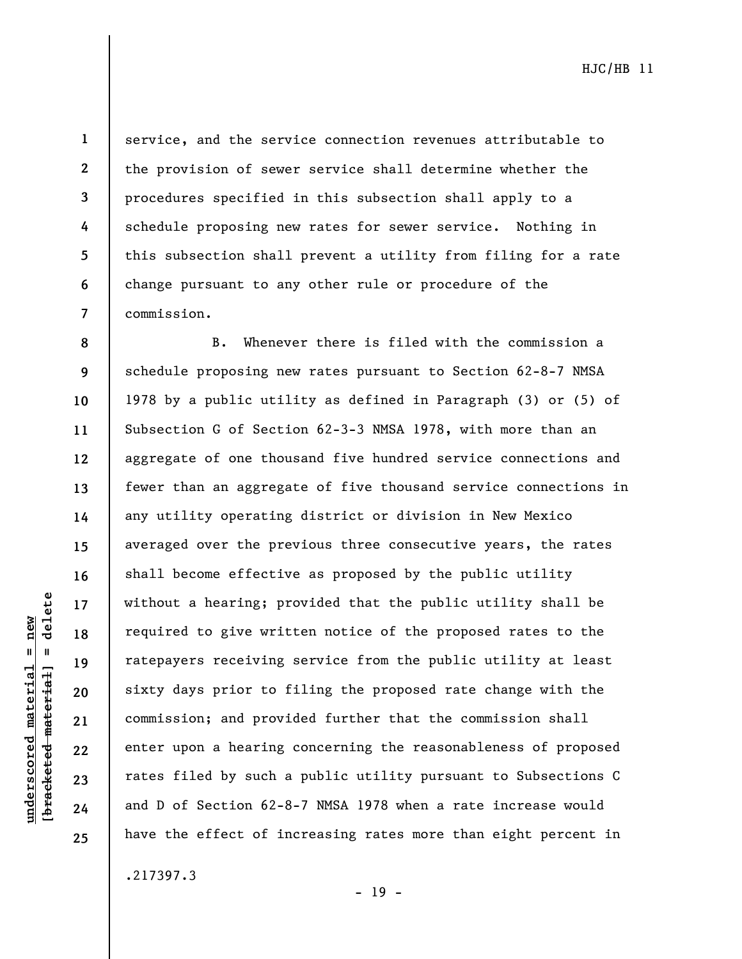delete **[bracketed material] = delete**  $underscored material = new$ **underscored material = new**  $\mathbf{I}$ bracketed material **8** 

**9** 

**10** 

**11** 

**12** 

**13** 

**14** 

**15** 

**16** 

**17** 

**18** 

**19** 

**20** 

**21** 

**22** 

**23** 

**24** 

**25** 

**1 2 3 4 5 6 7**  service, and the service connection revenues attributable to the provision of sewer service shall determine whether the procedures specified in this subsection shall apply to a schedule proposing new rates for sewer service. Nothing in this subsection shall prevent a utility from filing for a rate change pursuant to any other rule or procedure of the commission.

B. Whenever there is filed with the commission a schedule proposing new rates pursuant to Section 62-8-7 NMSA 1978 by a public utility as defined in Paragraph (3) or (5) of Subsection G of Section 62-3-3 NMSA 1978, with more than an aggregate of one thousand five hundred service connections and fewer than an aggregate of five thousand service connections in any utility operating district or division in New Mexico averaged over the previous three consecutive years, the rates shall become effective as proposed by the public utility without a hearing; provided that the public utility shall be required to give written notice of the proposed rates to the ratepayers receiving service from the public utility at least sixty days prior to filing the proposed rate change with the commission; and provided further that the commission shall enter upon a hearing concerning the reasonableness of proposed rates filed by such a public utility pursuant to Subsections C and D of Section 62-8-7 NMSA 1978 when a rate increase would have the effect of increasing rates more than eight percent in

.217397.3

- 19 -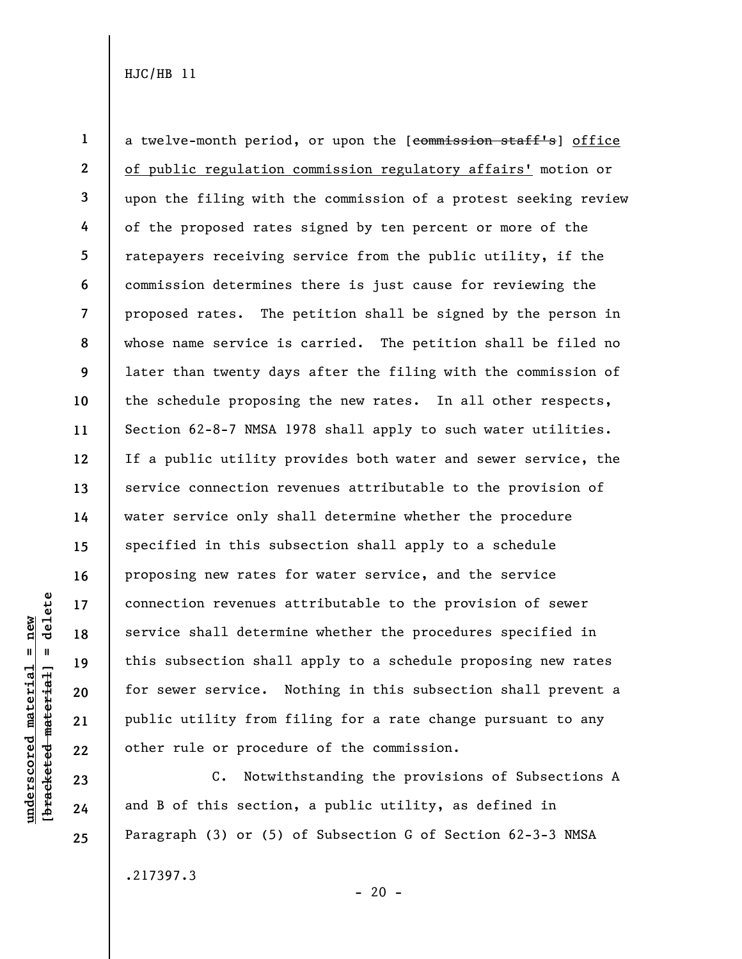**1 2 3 4 5 6 7 8 9 10 11 12 13 14 15 16 17 18 19 20 21 22**  a twelve-month period, or upon the [commission staff's] office of public regulation commission regulatory affairs' motion or upon the filing with the commission of a protest seeking review of the proposed rates signed by ten percent or more of the ratepayers receiving service from the public utility, if the commission determines there is just cause for reviewing the proposed rates. The petition shall be signed by the person in whose name service is carried. The petition shall be filed no later than twenty days after the filing with the commission of the schedule proposing the new rates. In all other respects, Section 62-8-7 NMSA 1978 shall apply to such water utilities. If a public utility provides both water and sewer service, the service connection revenues attributable to the provision of water service only shall determine whether the procedure specified in this subsection shall apply to a schedule proposing new rates for water service, and the service connection revenues attributable to the provision of sewer service shall determine whether the procedures specified in this subsection shall apply to a schedule proposing new rates for sewer service. Nothing in this subsection shall prevent a public utility from filing for a rate change pursuant to any other rule or procedure of the commission.

C. Notwithstanding the provisions of Subsections A and B of this section, a public utility, as defined in Paragraph (3) or (5) of Subsection G of Section 62-3-3 NMSA

 $- 20 -$ 

.217397.3

delete **[bracketed material] = delete**  $underscored material = new$ **underscored material = new**  $\mathbf{I}$ bracketed material

**23** 

**24**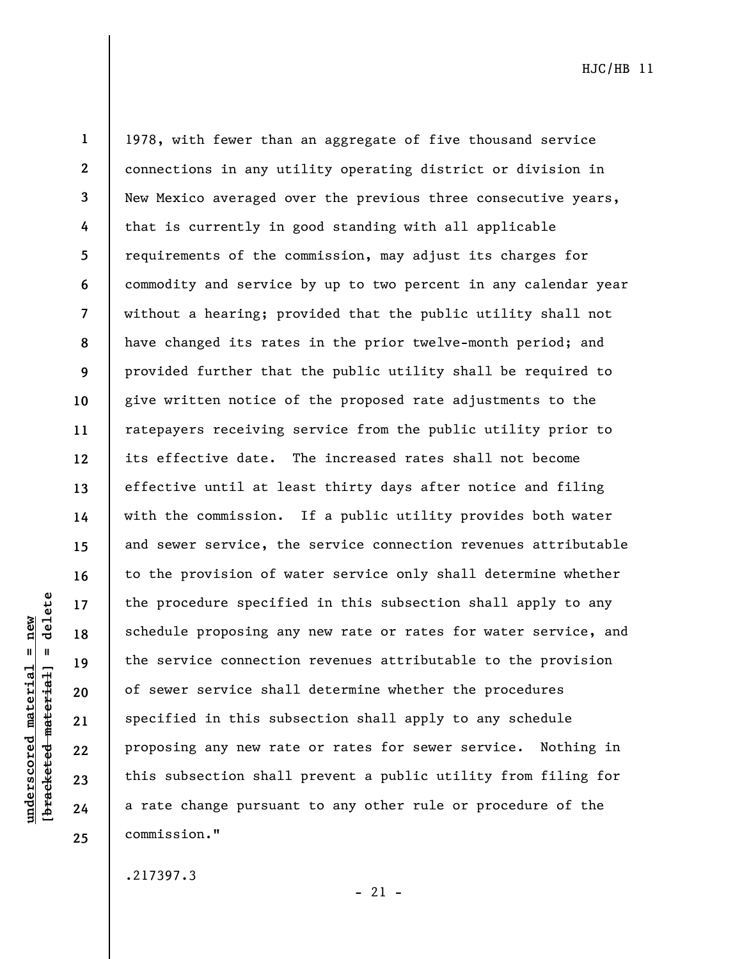delete **[bracketed material] = delete**  $underscored material = new$ **underscored material = new**  $\mathbf{u}$ bracketed material

**1 2 3 4 5 6 7 8 9 10 11 12 13 14 15 16 17 18 19 20 21 22 23 24 25**  1978, with fewer than an aggregate of five thousand service connections in any utility operating district or division in New Mexico averaged over the previous three consecutive years, that is currently in good standing with all applicable requirements of the commission, may adjust its charges for commodity and service by up to two percent in any calendar year without a hearing; provided that the public utility shall not have changed its rates in the prior twelve-month period; and provided further that the public utility shall be required to give written notice of the proposed rate adjustments to the ratepayers receiving service from the public utility prior to its effective date. The increased rates shall not become effective until at least thirty days after notice and filing with the commission. If a public utility provides both water and sewer service, the service connection revenues attributable to the provision of water service only shall determine whether the procedure specified in this subsection shall apply to any schedule proposing any new rate or rates for water service, and the service connection revenues attributable to the provision of sewer service shall determine whether the procedures specified in this subsection shall apply to any schedule proposing any new rate or rates for sewer service. Nothing in this subsection shall prevent a public utility from filing for a rate change pursuant to any other rule or procedure of the commission."

.217397.3

 $-21 -$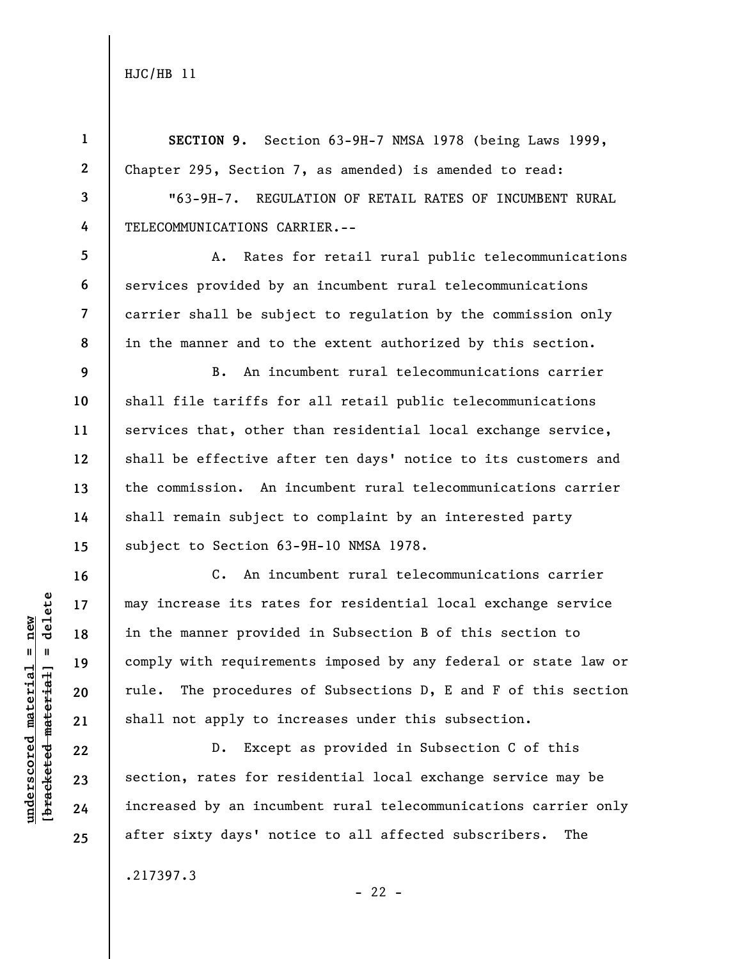**1 2 3 4 5 6 7 8 9 10 11 12 13 14 15 16 17 18 19 20 21 22 23 SECTION 9.** Section 63-9H-7 NMSA 1978 (being Laws 1999, Chapter 295, Section 7, as amended) is amended to read: "63-9H-7. REGULATION OF RETAIL RATES OF INCUMBENT RURAL TELECOMMUNICATIONS CARRIER.-- A. Rates for retail rural public telecommunications services provided by an incumbent rural telecommunications carrier shall be subject to regulation by the commission only in the manner and to the extent authorized by this section. B. An incumbent rural telecommunications carrier shall file tariffs for all retail public telecommunications services that, other than residential local exchange service, shall be effective after ten days' notice to its customers and the commission. An incumbent rural telecommunications carrier shall remain subject to complaint by an interested party subject to Section 63-9H-10 NMSA 1978. C. An incumbent rural telecommunications carrier may increase its rates for residential local exchange service in the manner provided in Subsection B of this section to comply with requirements imposed by any federal or state law or rule. The procedures of Subsections D, E and F of this section shall not apply to increases under this subsection. D. Except as provided in Subsection C of this

section, rates for residential local exchange service may be increased by an incumbent rural telecommunications carrier only after sixty days' notice to all affected subscribers. The

 $- 22 -$ 

.217397.3

**underscored material = new [bracketed material] = delete**

 $b$ racketed material] = delete  $underscored material = new$ 

**24**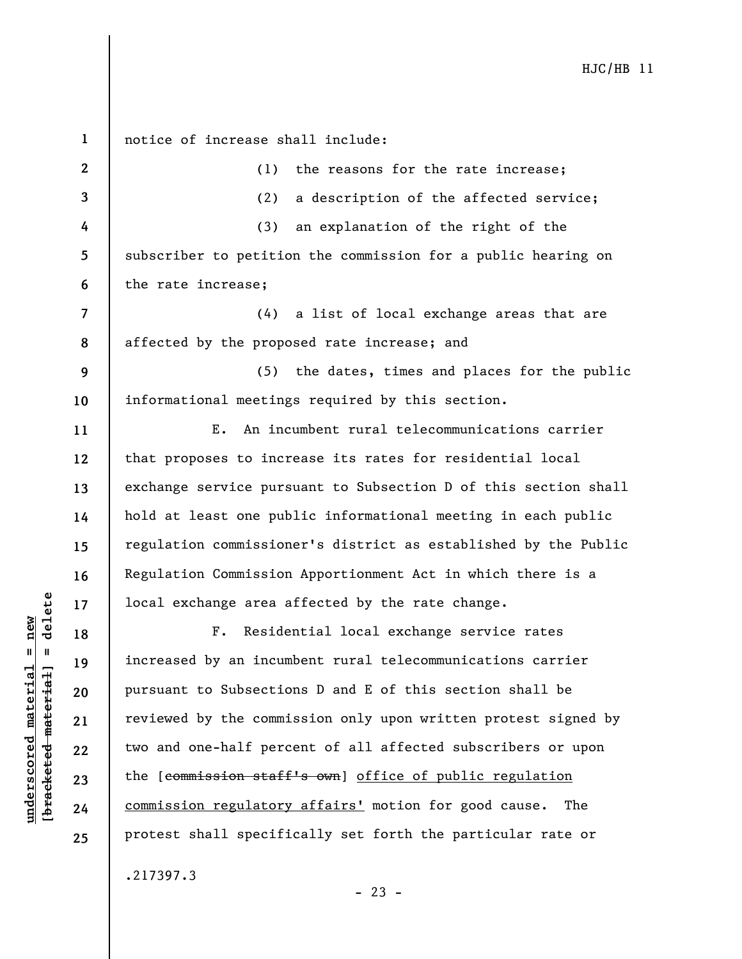**1 2 3 4 5 6 7 8 9 10 11 12 13 14 15 16 17 18 19 20 21 22 23 24 25**  notice of increase shall include: (1) the reasons for the rate increase; (2) a description of the affected service; (3) an explanation of the right of the subscriber to petition the commission for a public hearing on the rate increase; (4) a list of local exchange areas that are affected by the proposed rate increase; and (5) the dates, times and places for the public informational meetings required by this section. E. An incumbent rural telecommunications carrier that proposes to increase its rates for residential local exchange service pursuant to Subsection D of this section shall hold at least one public informational meeting in each public regulation commissioner's district as established by the Public Regulation Commission Apportionment Act in which there is a local exchange area affected by the rate change. F. Residential local exchange service rates increased by an incumbent rural telecommunications carrier pursuant to Subsections D and E of this section shall be reviewed by the commission only upon written protest signed by two and one-half percent of all affected subscribers or upon the [commission staff's own] office of public regulation commission regulatory affairs' motion for good cause. The protest shall specifically set forth the particular rate or .217397.3

**underscored material = new [bracketed material] = delete**

 $b$ racketed material] = delete  $underscored material = new$ 

 $- 23 -$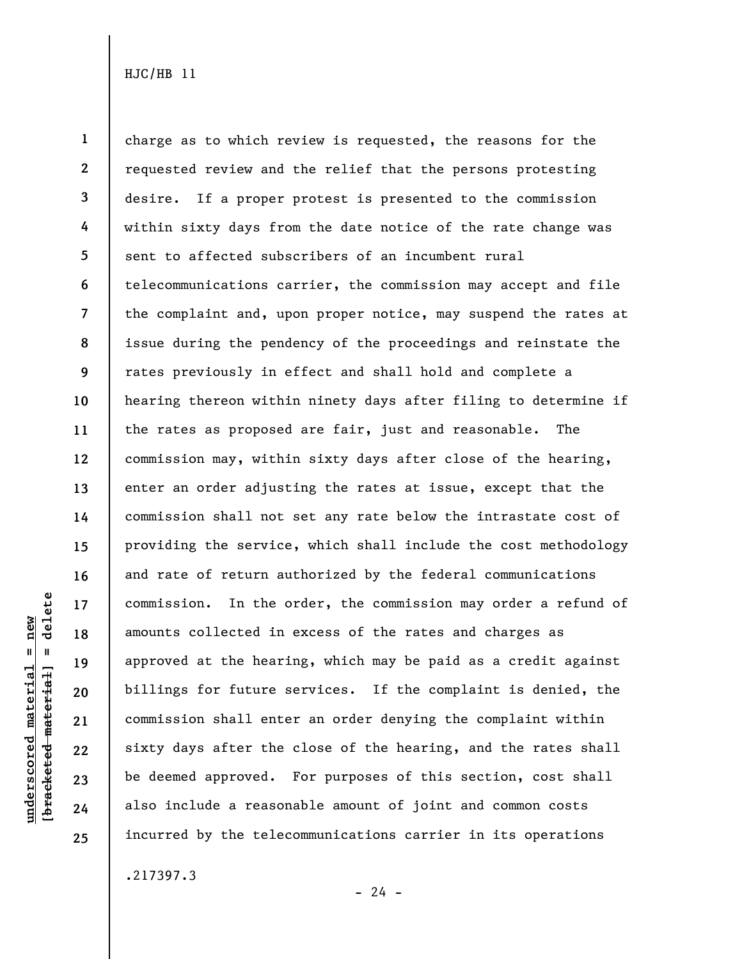**1 2 3 4 5 6 7 8 9 10 11 12 13 14 15 16 17 18 19 20 21 22 23 24 25**  charge as to which review is requested, the reasons for the requested review and the relief that the persons protesting desire. If a proper protest is presented to the commission within sixty days from the date notice of the rate change was sent to affected subscribers of an incumbent rural telecommunications carrier, the commission may accept and file the complaint and, upon proper notice, may suspend the rates at issue during the pendency of the proceedings and reinstate the rates previously in effect and shall hold and complete a hearing thereon within ninety days after filing to determine if the rates as proposed are fair, just and reasonable. The commission may, within sixty days after close of the hearing, enter an order adjusting the rates at issue, except that the commission shall not set any rate below the intrastate cost of providing the service, which shall include the cost methodology and rate of return authorized by the federal communications commission. In the order, the commission may order a refund of amounts collected in excess of the rates and charges as approved at the hearing, which may be paid as a credit against billings for future services. If the complaint is denied, the commission shall enter an order denying the complaint within sixty days after the close of the hearing, and the rates shall be deemed approved. For purposes of this section, cost shall also include a reasonable amount of joint and common costs incurred by the telecommunications carrier in its operations

.217397.3

**underscored material = new [bracketed material] = delete**

 $underscored material = new$ 

delete

 $\mathbf{I}$ 

bracketed material

 $- 24 -$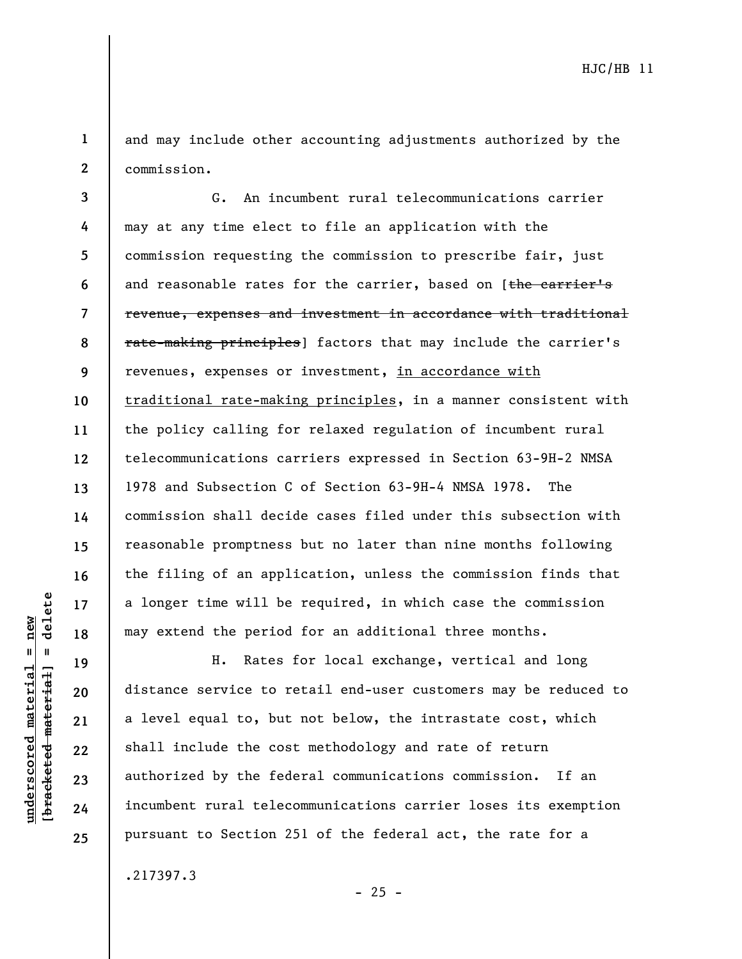**1 2**  and may include other accounting adjustments authorized by the commission.

**3 4 5 6 7 8 9 10 11 12 13 14 15 16 17 18**  G. An incumbent rural telecommunications carrier may at any time elect to file an application with the commission requesting the commission to prescribe fair, just and reasonable rates for the carrier, based on [the carrier's revenue, expenses and investment in accordance with traditional rate-making principles] factors that may include the carrier's revenues, expenses or investment, in accordance with traditional rate-making principles, in a manner consistent with the policy calling for relaxed regulation of incumbent rural telecommunications carriers expressed in Section 63-9H-2 NMSA 1978 and Subsection C of Section 63-9H-4 NMSA 1978. The commission shall decide cases filed under this subsection with reasonable promptness but no later than nine months following the filing of an application, unless the commission finds that a longer time will be required, in which case the commission may extend the period for an additional three months.

H. Rates for local exchange, vertical and long distance service to retail end-user customers may be reduced to a level equal to, but not below, the intrastate cost, which shall include the cost methodology and rate of return authorized by the federal communications commission. If an incumbent rural telecommunications carrier loses its exemption pursuant to Section 251 of the federal act, the rate for a

 $- 25 -$ 

.217397.3

 $=$  delete **[bracketed material] = delete**  $underscored material = new$ **underscored material = new** bracketed material

**19** 

**20** 

**21** 

**22** 

**23** 

**24**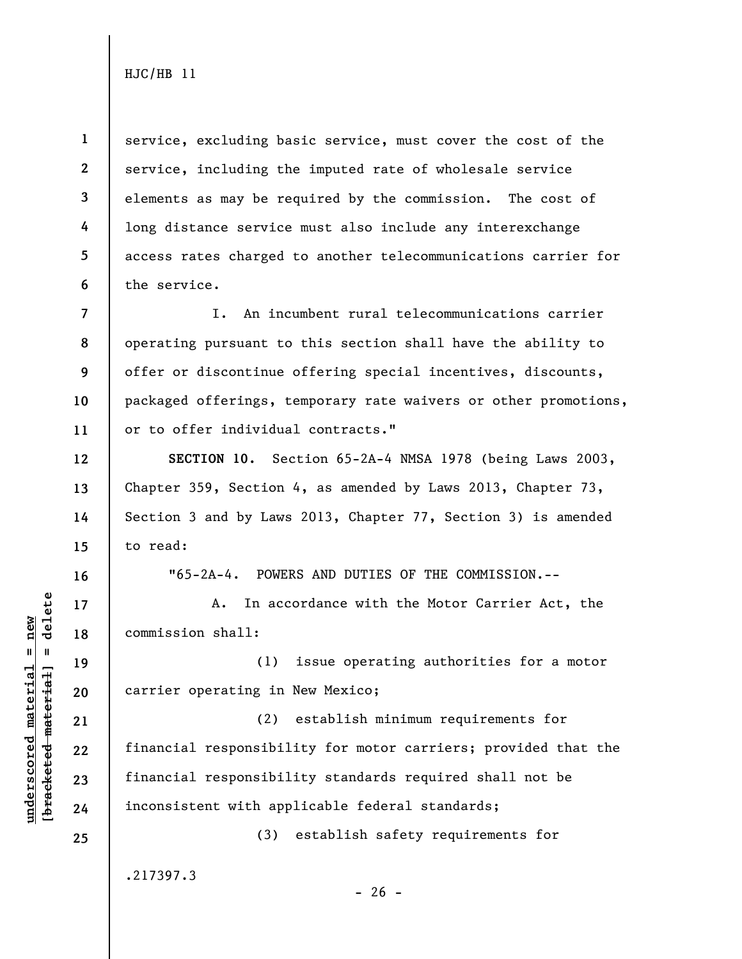**1 2 3 4 5 6**  service, excluding basic service, must cover the cost of the service, including the imputed rate of wholesale service elements as may be required by the commission. The cost of long distance service must also include any interexchange access rates charged to another telecommunications carrier for the service.

**7 8 9 10 11**  I. An incumbent rural telecommunications carrier operating pursuant to this section shall have the ability to offer or discontinue offering special incentives, discounts, packaged offerings, temporary rate waivers or other promotions, or to offer individual contracts."

**SECTION 10.** Section 65-2A-4 NMSA 1978 (being Laws 2003, Chapter 359, Section 4, as amended by Laws 2013, Chapter 73, Section 3 and by Laws 2013, Chapter 77, Section 3) is amended to read:

"65-2A-4. POWERS AND DUTIES OF THE COMMISSION.--

A. In accordance with the Motor Carrier Act, the commission shall:

(1) issue operating authorities for a motor carrier operating in New Mexico;

(2) establish minimum requirements for financial responsibility for motor carriers; provided that the financial responsibility standards required shall not be inconsistent with applicable federal standards;

(3) establish safety requirements for

.217397.3

 $- 26 -$ 

 $b$ racketed material] = delete **[bracketed material] = delete**  $underscored material = new$ **underscored material = new**

**12** 

**13** 

**14** 

**15** 

**16** 

**17** 

**18** 

**19** 

**20** 

**21** 

**22** 

**23** 

**24**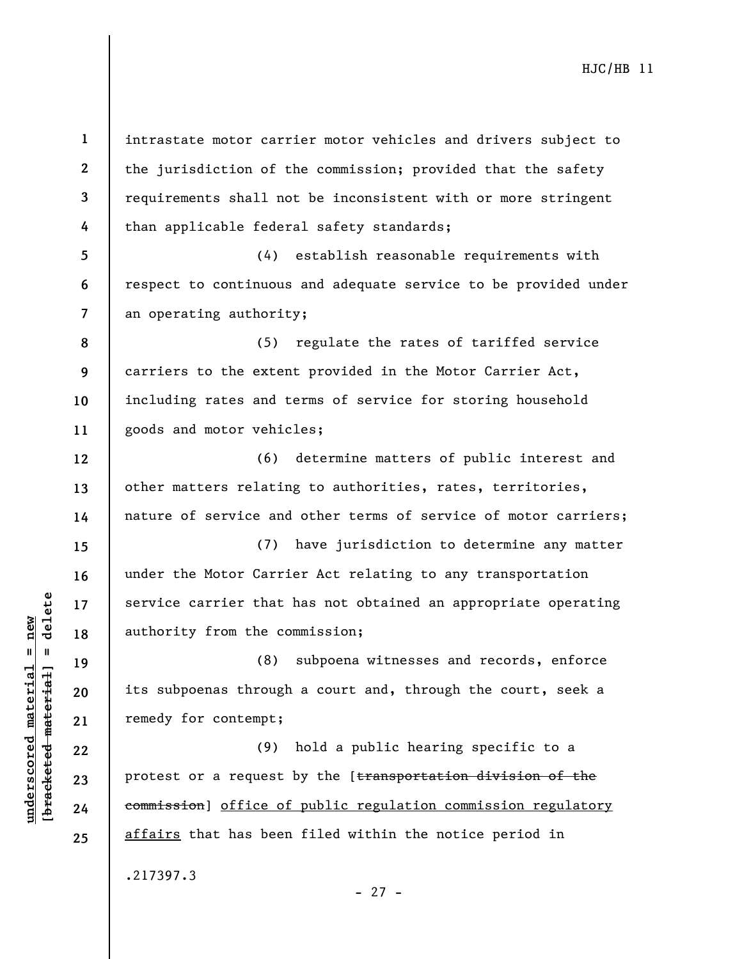**1**  intrastate motor carrier motor vehicles and drivers subject to **2**  the jurisdiction of the commission; provided that the safety **3**  requirements shall not be inconsistent with or more stringent **4**  than applicable federal safety standards; **5**  (4) establish reasonable requirements with **6**  respect to continuous and adequate service to be provided under an operating authority; **7**  (5) regulate the rates of tariffed service **8 9**  carriers to the extent provided in the Motor Carrier Act, **10**  including rates and terms of service for storing household goods and motor vehicles; **11**  (6) determine matters of public interest and **12**  other matters relating to authorities, rates, territories, **13**  nature of service and other terms of service of motor carriers; **14**  (7) have jurisdiction to determine any matter **15**  under the Motor Carrier Act relating to any transportation **16**   $b$ racketed material] = delete **[bracketed material] = delete** service carrier that has not obtained an appropriate operating **17**  authority from the commission; **18**  (8) subpoena witnesses and records, enforce **19**  its subpoenas through a court and, through the court, seek a **20**  remedy for contempt; **21**  (9) hold a public hearing specific to a **22**  protest or a request by the [transportation division of the **23**  commission] office of public regulation commission regulatory **24**  affairs that has been filed within the notice period in **25**  .217397.3

**underscored material = new**

 $underscored material = new$ 

- 27 -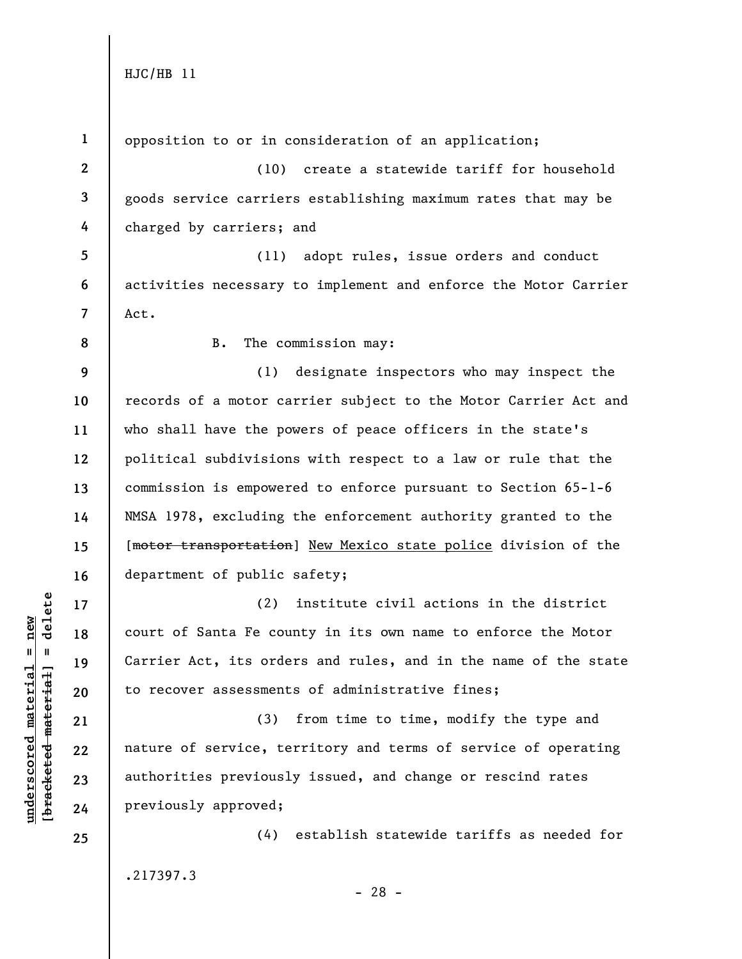**1**  opposition to or in consideration of an application; **2**  (10) create a statewide tariff for household **3**  goods service carriers establishing maximum rates that may be **4**  charged by carriers; and **5**  (11) adopt rules, issue orders and conduct **6**  activities necessary to implement and enforce the Motor Carrier **7**  Act. B. The commission may: **8 9**  (1) designate inspectors who may inspect the **10**  records of a motor carrier subject to the Motor Carrier Act and who shall have the powers of peace officers in the state's **11**  political subdivisions with respect to a law or rule that the **12**  commission is empowered to enforce pursuant to Section 65-1-6 **13**  NMSA 1978, excluding the enforcement authority granted to the **14**  [motor transportation] New Mexico state police division of the **15**  department of public safety; **16**   $b$ racketed material] = delete **[bracketed material] = delete** (2) institute civil actions in the district **17**   $underscored material = new$ **underscored material = new** court of Santa Fe county in its own name to enforce the Motor **18**  Carrier Act, its orders and rules, and in the name of the state **19**  to recover assessments of administrative fines; **20**  (3) from time to time, modify the type and **21**  nature of service, territory and terms of service of operating **22**  authorities previously issued, and change or rescind rates **23**  previously approved; **24**  (4) establish statewide tariffs as needed for **25**  .217397.3

- 28 -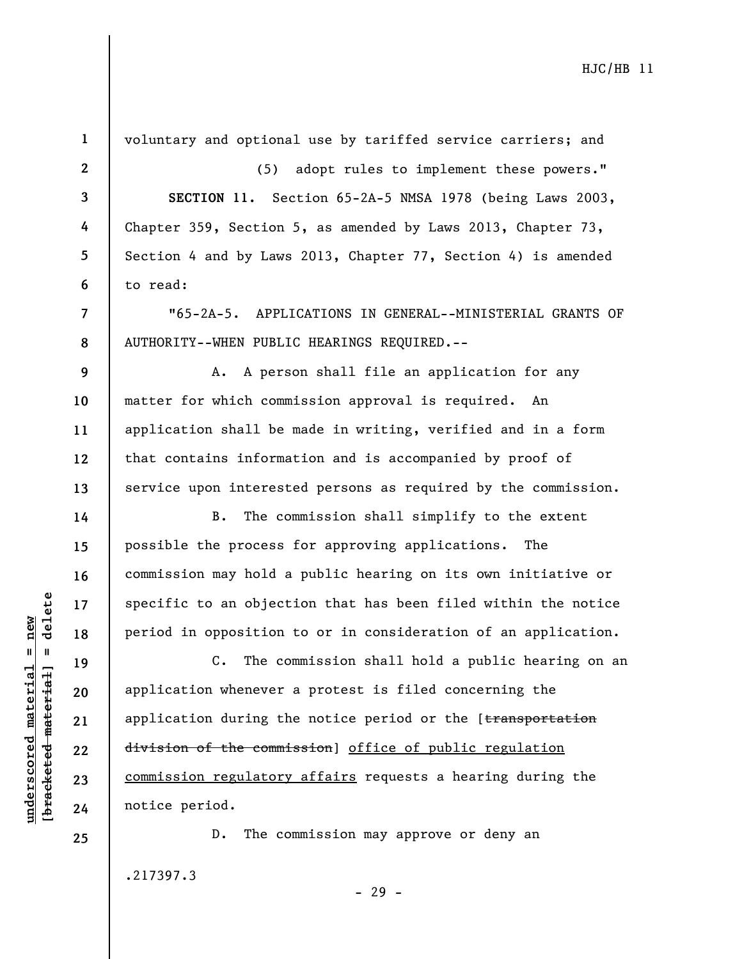| $\mathbf{1}$ | voluntary and optional use by tariffed service carriers; and      |
|--------------|-------------------------------------------------------------------|
| $\mathbf{2}$ | adopt rules to implement these powers."<br>(5)                    |
| 3            | SECTION 11. Section 65-2A-5 NMSA 1978 (being Laws 2003,           |
| 4            | Chapter 359, Section 5, as amended by Laws 2013, Chapter 73,      |
| 5            | Section 4 and by Laws 2013, Chapter 77, Section 4) is amended     |
| 6            | to read:                                                          |
| 7            | "65-2A-5. APPLICATIONS IN GENERAL--MINISTERIAL GRANTS OF          |
| 8            | AUTHORITY--WHEN PUBLIC HEARINGS REQUIRED.--                       |
| 9            | A. A person shall file an application for any                     |
| 10           | matter for which commission approval is required. An              |
| 11           | application shall be made in writing, verified and in a form      |
| 12           | that contains information and is accompanied by proof of          |
| 13           | service upon interested persons as required by the commission.    |
| 14           | The commission shall simplify to the extent<br><b>B</b> .         |
| 15           | possible the process for approving applications.<br>The           |
| 16           | commission may hold a public hearing on its own initiative or     |
| 17           | specific to an objection that has been filed within the notice    |
| 18           | period in opposition to or in consideration of an application.    |
| 19           | The commission shall hold a public hearing on an<br>$c_{\bullet}$ |
| 20           | application whenever a protest is filed concerning the            |
| 21           | application during the notice period or the [transportation       |
| 22           | division of the commission] office of public regulation           |
| 23           | commission regulatory affairs requests a hearing during the       |
| 24           | notice period.                                                    |
| 25           | The commission may approve or deny an<br>$D$ .                    |
|              | .217397.3<br>$-29 -$                                              |

**underscored material = new [bracketed material] = delete**

 $[bracketeed-material] = delete$  $underscored material = new$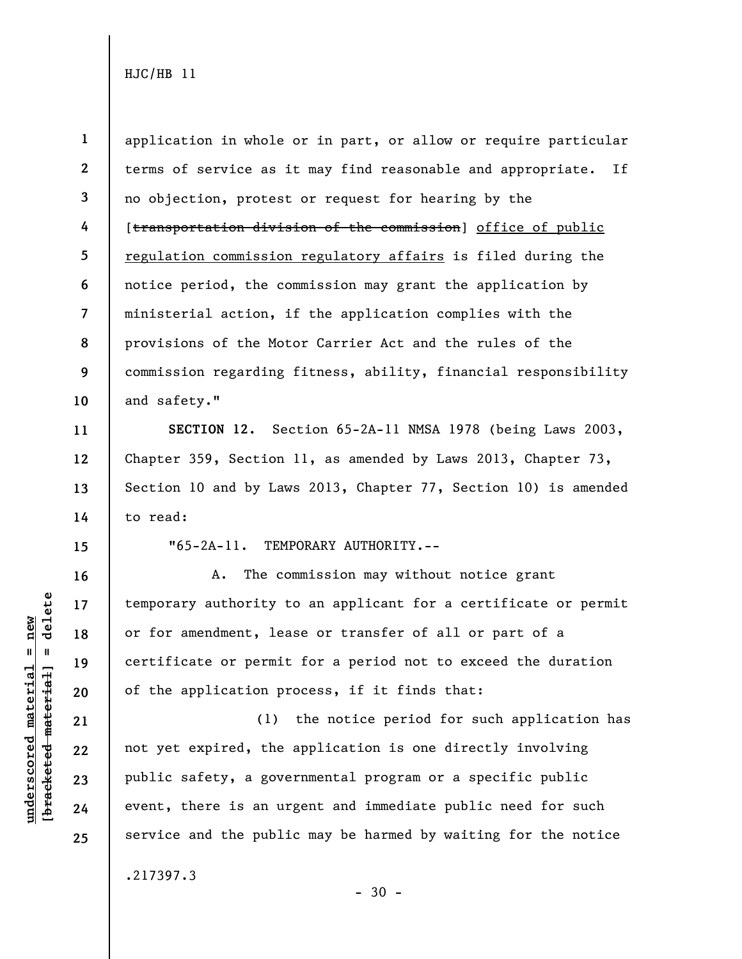**1 2 3 4 5 6 7 8 9 10**  application in whole or in part, or allow or require particular terms of service as it may find reasonable and appropriate. If no objection, protest or request for hearing by the [transportation division of the commission] office of public regulation commission regulatory affairs is filed during the notice period, the commission may grant the application by ministerial action, if the application complies with the provisions of the Motor Carrier Act and the rules of the commission regarding fitness, ability, financial responsibility and safety."

**SECTION 12.** Section 65-2A-11 NMSA 1978 (being Laws 2003, Chapter 359, Section 11, as amended by Laws 2013, Chapter 73, Section 10 and by Laws 2013, Chapter 77, Section 10) is amended to read:

**15** 

**16** 

**17** 

**18** 

**19** 

**20** 

**21** 

**22** 

**23** 

**24** 

**25** 

**11** 

**12** 

**13** 

**14** 

**underscored material = new [bracketed material] = delete**

 $b$ racketed material] = delete  $underscored material = new$ 

"65-2A-11. TEMPORARY AUTHORITY.--

A. The commission may without notice grant temporary authority to an applicant for a certificate or permit or for amendment, lease or transfer of all or part of a certificate or permit for a period not to exceed the duration of the application process, if it finds that:

(1) the notice period for such application has not yet expired, the application is one directly involving public safety, a governmental program or a specific public event, there is an urgent and immediate public need for such service and the public may be harmed by waiting for the notice

.217397.3

 $-30 -$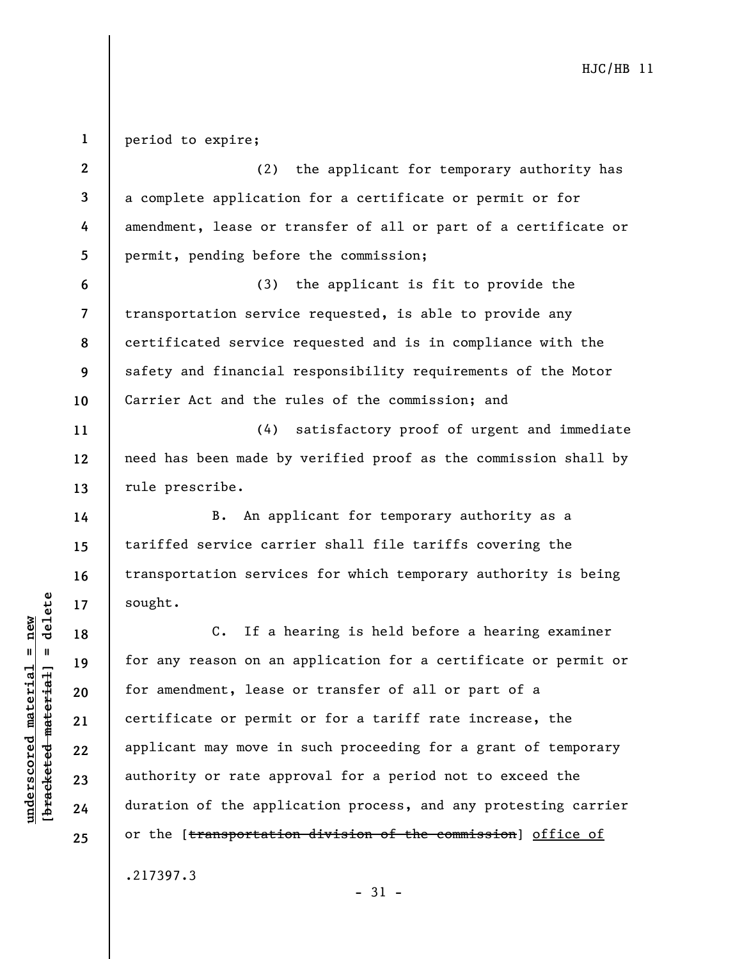**1**  period to expire;

**2 3 4 5 6 7 8 9 10 11 12 13 14 15 16 17 18 19 20 21 22 23 24 25**  (2) the applicant for temporary authority has a complete application for a certificate or permit or for amendment, lease or transfer of all or part of a certificate or permit, pending before the commission; (3) the applicant is fit to provide the transportation service requested, is able to provide any certificated service requested and is in compliance with the safety and financial responsibility requirements of the Motor Carrier Act and the rules of the commission; and (4) satisfactory proof of urgent and immediate need has been made by verified proof as the commission shall by rule prescribe. B. An applicant for temporary authority as a tariffed service carrier shall file tariffs covering the transportation services for which temporary authority is being sought. C. If a hearing is held before a hearing examiner for any reason on an application for a certificate or permit or for amendment, lease or transfer of all or part of a certificate or permit or for a tariff rate increase, the applicant may move in such proceeding for a grant of temporary authority or rate approval for a period not to exceed the duration of the application process, and any protesting carrier or the [transportation division of the commission] office of

.217397.3

 $b$ racketed material] = delete **[bracketed material] = delete**  $underscored material = new$ **underscored material = new**

 $-31 -$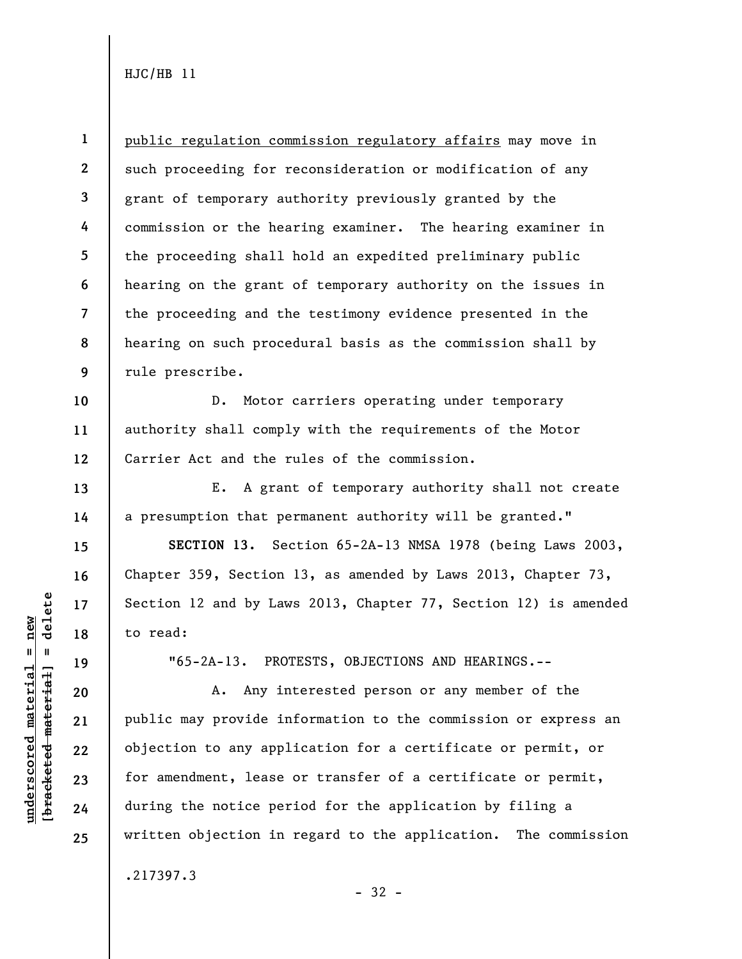**1 2 3 4 5 6 7 8 9**  public regulation commission regulatory affairs may move in such proceeding for reconsideration or modification of any grant of temporary authority previously granted by the commission or the hearing examiner. The hearing examiner in the proceeding shall hold an expedited preliminary public hearing on the grant of temporary authority on the issues in the proceeding and the testimony evidence presented in the hearing on such procedural basis as the commission shall by rule prescribe.

D. Motor carriers operating under temporary authority shall comply with the requirements of the Motor Carrier Act and the rules of the commission.

E. A grant of temporary authority shall not create a presumption that permanent authority will be granted."

**SECTION 13.** Section 65-2A-13 NMSA 1978 (being Laws 2003, Chapter 359, Section 13, as amended by Laws 2013, Chapter 73, Section 12 and by Laws 2013, Chapter 77, Section 12) is amended to read:

"65-2A-13. PROTESTS, OBJECTIONS AND HEARINGS.--

A. Any interested person or any member of the public may provide information to the commission or express an objection to any application for a certificate or permit, or for amendment, lease or transfer of a certificate or permit, during the notice period for the application by filing a written objection in regard to the application. The commission

- 32 -

.217397.3

 $b$ racketed material] = delete **[bracketed material] = delete**  $underscored material = new$ **underscored material = new**

**10** 

**11** 

**12** 

**13** 

**14** 

**15** 

**16** 

**17** 

**18** 

**19** 

**20** 

**21** 

**22** 

**23** 

**24**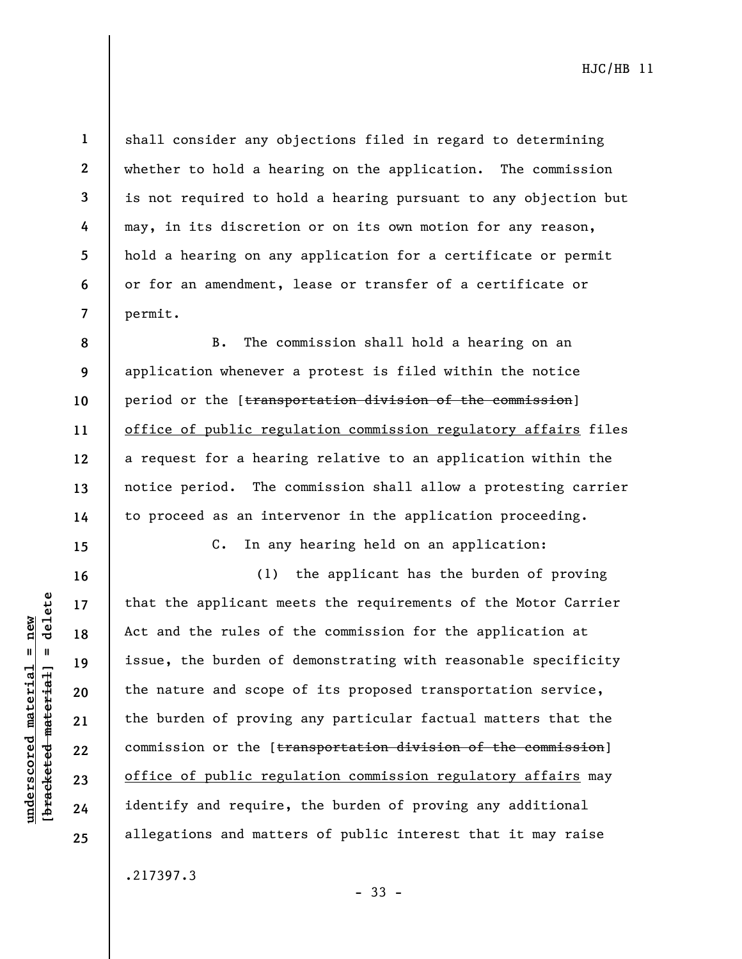$b$ racketed material] = delete **[bracketed material] = delete**  $underscored material = new$ **underscored material = new**

**1** 

**2** 

**3** 

**4** 

**5** 

**6** 

**7** 

**8** 

**9** 

**10** 

**11** 

**12** 

**13** 

**14** 

**15** 

**16** 

**17** 

**18** 

**19** 

**20** 

**21** 

**22** 

**23** 

**24** 

**25** 

shall consider any objections filed in regard to determining whether to hold a hearing on the application. The commission is not required to hold a hearing pursuant to any objection but may, in its discretion or on its own motion for any reason, hold a hearing on any application for a certificate or permit or for an amendment, lease or transfer of a certificate or permit.

B. The commission shall hold a hearing on an application whenever a protest is filed within the notice period or the [transportation division of the commission] office of public regulation commission regulatory affairs files a request for a hearing relative to an application within the notice period. The commission shall allow a protesting carrier to proceed as an intervenor in the application proceeding.

C. In any hearing held on an application:

(1) the applicant has the burden of proving that the applicant meets the requirements of the Motor Carrier Act and the rules of the commission for the application at issue, the burden of demonstrating with reasonable specificity the nature and scope of its proposed transportation service, the burden of proving any particular factual matters that the commission or the [transportation division of the commission] office of public regulation commission regulatory affairs may identify and require, the burden of proving any additional allegations and matters of public interest that it may raise

.217397.3

- 33 -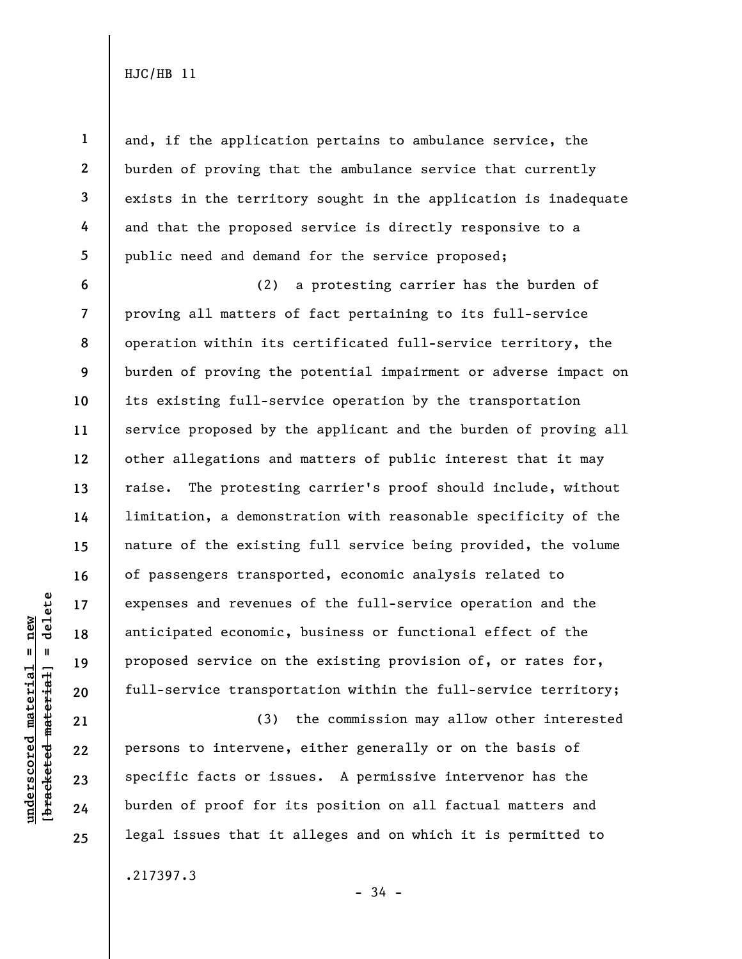**1** 

**2** 

**3** 

**4** 

**5** 

**6** 

**7** 

**10** 

**11** 

**13** 

**14** 

**15** 

**16** 

**17** 

**18** 

**19** 

**20** 

**21** 

**22** 

**23** 

**24** 

**25** 

and, if the application pertains to ambulance service, the burden of proving that the ambulance service that currently exists in the territory sought in the application is inadequate and that the proposed service is directly responsive to a public need and demand for the service proposed;

**8 9 12**  (2) a protesting carrier has the burden of proving all matters of fact pertaining to its full-service operation within its certificated full-service territory, the burden of proving the potential impairment or adverse impact on its existing full-service operation by the transportation service proposed by the applicant and the burden of proving all other allegations and matters of public interest that it may raise. The protesting carrier's proof should include, without limitation, a demonstration with reasonable specificity of the nature of the existing full service being provided, the volume of passengers transported, economic analysis related to expenses and revenues of the full-service operation and the anticipated economic, business or functional effect of the proposed service on the existing provision of, or rates for, full-service transportation within the full-service territory;

(3) the commission may allow other interested persons to intervene, either generally or on the basis of specific facts or issues. A permissive intervenor has the burden of proof for its position on all factual matters and legal issues that it alleges and on which it is permitted to

.217397.3

delete **[bracketed material] = delete**  $underscored material = new$ **underscored material = new**  $\mathbf{u}$ bracketed material

- 34 -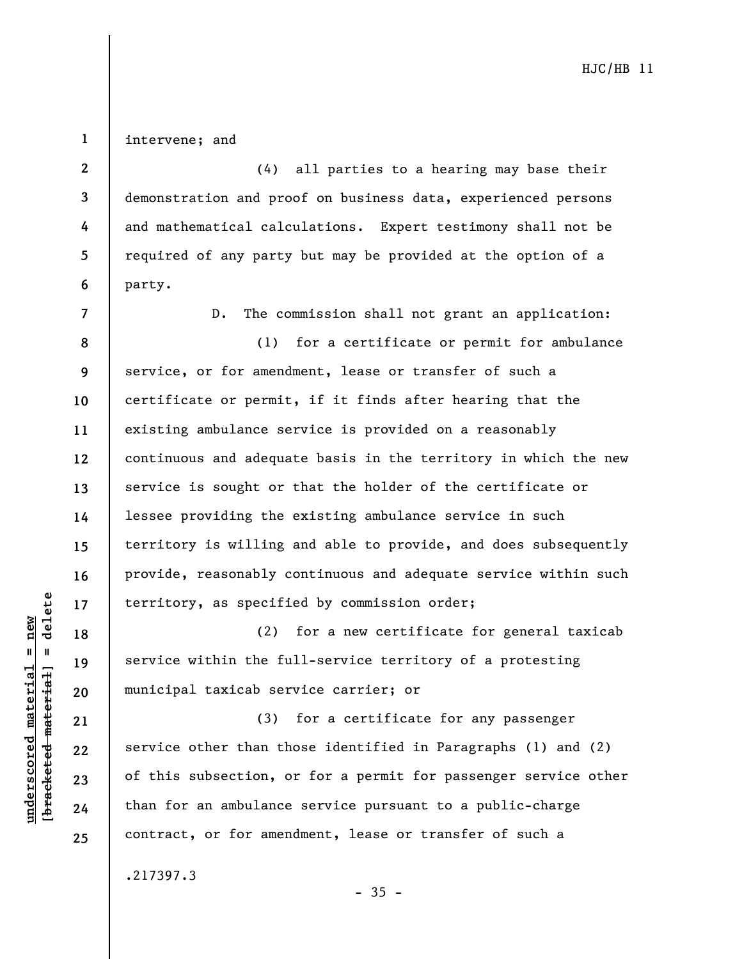intervene; and

**1** 

**2** 

**3** 

**4** 

**5** 

**6** 

(4) all parties to a hearing may base their demonstration and proof on business data, experienced persons and mathematical calculations. Expert testimony shall not be required of any party but may be provided at the option of a party.

**7 8 9 10 11 12 13 14 15 16 17**  D. The commission shall not grant an application: (1) for a certificate or permit for ambulance service, or for amendment, lease or transfer of such a certificate or permit, if it finds after hearing that the existing ambulance service is provided on a reasonably continuous and adequate basis in the territory in which the new service is sought or that the holder of the certificate or lessee providing the existing ambulance service in such territory is willing and able to provide, and does subsequently provide, reasonably continuous and adequate service within such territory, as specified by commission order;

(2) for a new certificate for general taxicab service within the full-service territory of a protesting municipal taxicab service carrier; or

(3) for a certificate for any passenger service other than those identified in Paragraphs (1) and (2) of this subsection, or for a permit for passenger service other than for an ambulance service pursuant to a public-charge contract, or for amendment, lease or transfer of such a

.217397.3

 $-35 -$ 

 $b$ racketed material] = delete **[bracketed material] = delete**  $underscored material = new$ **underscored material = new**

**18** 

**19** 

**20** 

**21** 

**22** 

**23** 

**24**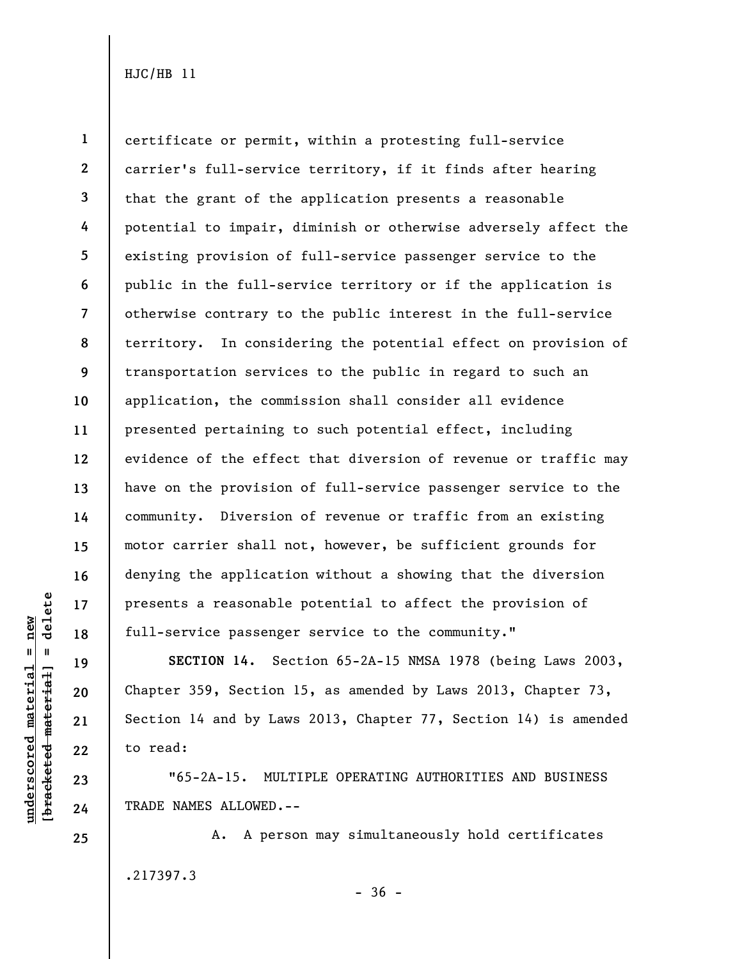**1 2 3 4 5 6 7 8 9 10 11 12 13 14 15 16 17 18**  certificate or permit, within a protesting full-service carrier's full-service territory, if it finds after hearing that the grant of the application presents a reasonable potential to impair, diminish or otherwise adversely affect the existing provision of full-service passenger service to the public in the full-service territory or if the application is otherwise contrary to the public interest in the full-service territory. In considering the potential effect on provision of transportation services to the public in regard to such an application, the commission shall consider all evidence presented pertaining to such potential effect, including evidence of the effect that diversion of revenue or traffic may have on the provision of full-service passenger service to the community. Diversion of revenue or traffic from an existing motor carrier shall not, however, be sufficient grounds for denying the application without a showing that the diversion presents a reasonable potential to affect the provision of full-service passenger service to the community."

**SECTION 14.** Section 65-2A-15 NMSA 1978 (being Laws 2003, Chapter 359, Section 15, as amended by Laws 2013, Chapter 73, Section 14 and by Laws 2013, Chapter 77, Section 14) is amended to read:

"65-2A-15. MULTIPLE OPERATING AUTHORITIES AND BUSINESS TRADE NAMES ALLOWED.--

A. A person may simultaneously hold certificates .217397.3  $-36 -$ 

delete **[bracketed material] = delete**  $underscored material = new$ **underscored material = new**  $\mathbf{u}$ bracketed material

**19** 

**20** 

**21** 

**22** 

**23** 

**24**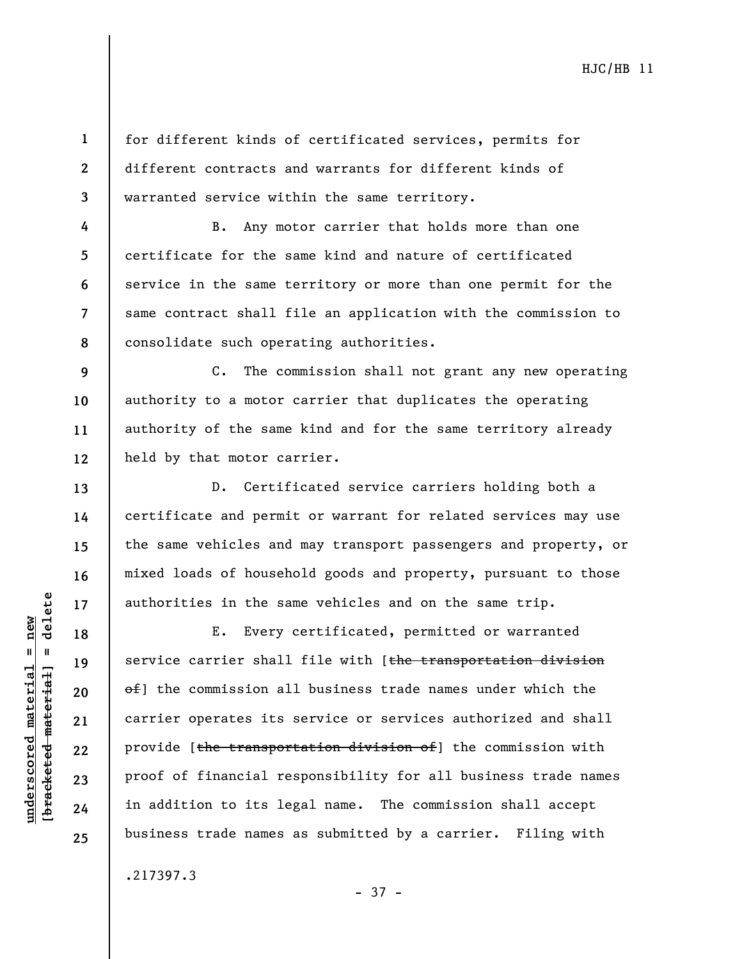**1 2 3**  for different kinds of certificated services, permits for different contracts and warrants for different kinds of warranted service within the same territory.

B. Any motor carrier that holds more than one certificate for the same kind and nature of certificated service in the same territory or more than one permit for the same contract shall file an application with the commission to consolidate such operating authorities.

**9 10 11 12**  C. The commission shall not grant any new operating authority to a motor carrier that duplicates the operating authority of the same kind and for the same territory already held by that motor carrier.

D. Certificated service carriers holding both a certificate and permit or warrant for related services may use the same vehicles and may transport passengers and property, or mixed loads of household goods and property, pursuant to those authorities in the same vehicles and on the same trip.

E. Every certificated, permitted or warranted service carrier shall file with [the transportation division of] the commission all business trade names under which the carrier operates its service or services authorized and shall provide [the transportation division of] the commission with proof of financial responsibility for all business trade names in addition to its legal name. The commission shall accept business trade names as submitted by a carrier. Filing with

- 37 -

.217397.3

 $\frac{1}{2}$  intereted material = delete **[bracketed material] = delete**  $underscored material = new$ **underscored material = new**

**4** 

**5** 

**6** 

**7** 

**8** 

**13** 

**14** 

**15** 

**16** 

**17** 

**18** 

**19** 

**20** 

**21** 

**22** 

**23** 

**24**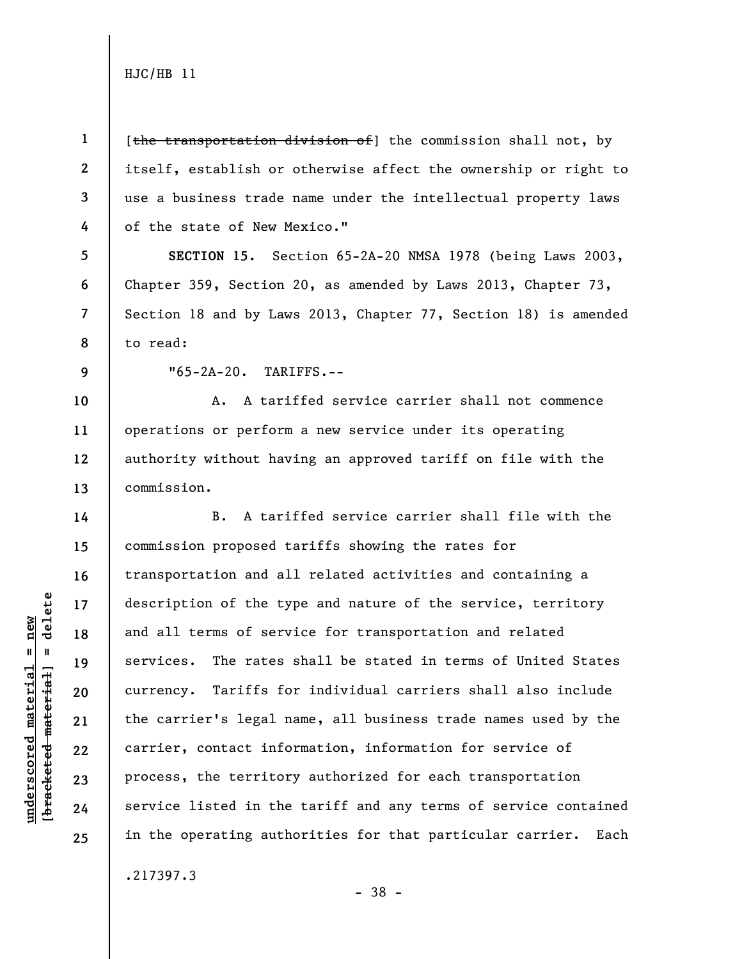[the transportation division of] the commission shall not, by itself, establish or otherwise affect the ownership or right to use a business trade name under the intellectual property laws of the state of New Mexico."

**SECTION 15.** Section 65-2A-20 NMSA 1978 (being Laws 2003, Chapter 359, Section 20, as amended by Laws 2013, Chapter 73, Section 18 and by Laws 2013, Chapter 77, Section 18) is amended to read:

**9** 

**14** 

**15** 

**16** 

**17** 

**18** 

**19** 

**20** 

**21** 

**22** 

**23** 

**24** 

**25** 

**1** 

**2** 

**3** 

**4** 

**5** 

**6** 

**7** 

**8** 

**underscored material = new [bracketed material] = delete**

 $b$ racketed material] = delete  $underscored material = new$ 

"65-2A-20. TARIFFS.--

**10 11 12 13**  A. A tariffed service carrier shall not commence operations or perform a new service under its operating authority without having an approved tariff on file with the commission.

B. A tariffed service carrier shall file with the commission proposed tariffs showing the rates for transportation and all related activities and containing a description of the type and nature of the service, territory and all terms of service for transportation and related services. The rates shall be stated in terms of United States currency. Tariffs for individual carriers shall also include the carrier's legal name, all business trade names used by the carrier, contact information, information for service of process, the territory authorized for each transportation service listed in the tariff and any terms of service contained in the operating authorities for that particular carrier. Each

.217397.3

- 38 -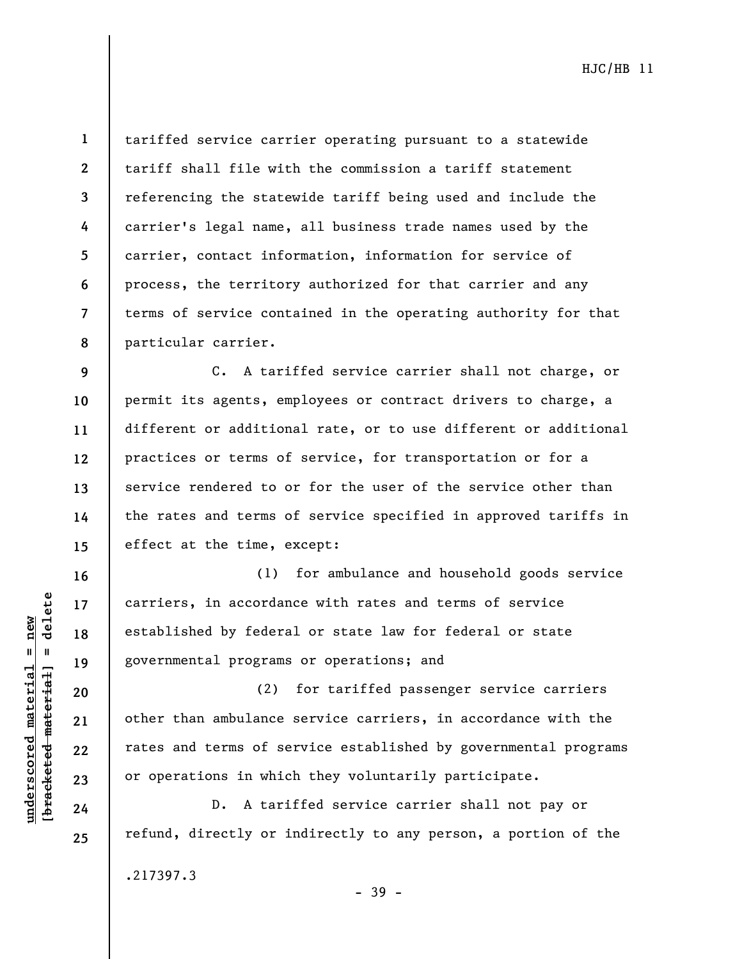**8** 

**16** 

**17** 

**18** 

**19** 

**20** 

**21** 

**22** 

**23** 

**24** 

**25** 

**1** 

tariffed service carrier operating pursuant to a statewide tariff shall file with the commission a tariff statement referencing the statewide tariff being used and include the carrier's legal name, all business trade names used by the carrier, contact information, information for service of process, the territory authorized for that carrier and any terms of service contained in the operating authority for that particular carrier.

**9 10 11 12 13 14 15**  C. A tariffed service carrier shall not charge, or permit its agents, employees or contract drivers to charge, a different or additional rate, or to use different or additional practices or terms of service, for transportation or for a service rendered to or for the user of the service other than the rates and terms of service specified in approved tariffs in effect at the time, except:

(1) for ambulance and household goods service carriers, in accordance with rates and terms of service established by federal or state law for federal or state governmental programs or operations; and

(2) for tariffed passenger service carriers other than ambulance service carriers, in accordance with the rates and terms of service established by governmental programs or operations in which they voluntarily participate.

D. A tariffed service carrier shall not pay or refund, directly or indirectly to any person, a portion of the

.217397.3

- 39 -

 $b$ racketed material] = delete **[bracketed material] = delete**  $underscored material = new$ **underscored material = new**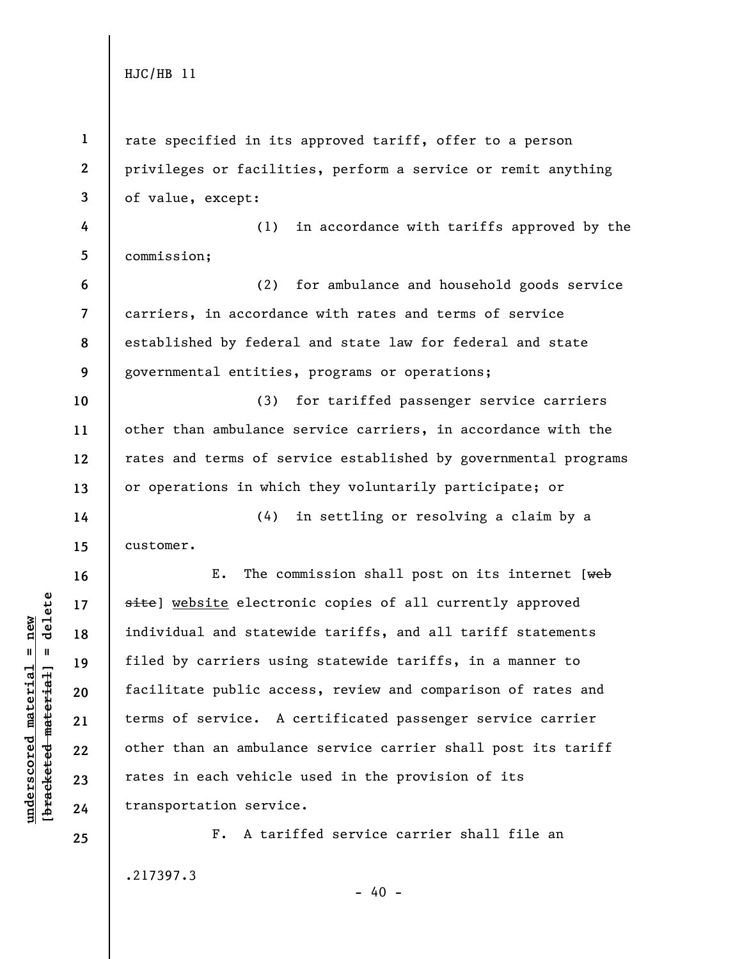| $\mathbf{1}$             | rate specified in its approved tariff, offer to a person        |
|--------------------------|-----------------------------------------------------------------|
| $\boldsymbol{2}$         | privileges or facilities, perform a service or remit anything   |
| 3                        | of value, except:                                               |
| 4                        | in accordance with tariffs approved by the<br>(1)               |
| 5                        | commission;                                                     |
| 6                        | (2)<br>for ambulance and household goods service                |
| $\overline{\phantom{a}}$ | carriers, in accordance with rates and terms of service         |
| 8                        | established by federal and state law for federal and state      |
| 9                        | governmental entities, programs or operations;                  |
| 10                       | (3)<br>for tariffed passenger service carriers                  |
| 11                       | other than ambulance service carriers, in accordance with the   |
| 12                       | rates and terms of service established by governmental programs |
| 13                       | or operations in which they voluntarily participate; or         |
| 14                       | (4)<br>in settling or resolving a claim by a                    |
| 15                       | customer.                                                       |
| 16                       | The commission shall post on its internet $[$ web<br>Ε.         |
| 17                       | site) website electronic copies of all currently approved       |
| 18                       | individual and statewide tariffs, and all tariff statements     |
| 19                       | filed by carriers using statewide tariffs, in a manner to       |
| 20                       | facilitate public access, review and comparison of rates and    |
| 21                       | terms of service. A certificated passenger service carrier      |
| 22                       | other than an ambulance service carrier shall post its tariff   |
| 23                       | rates in each vehicle used in the provision of its              |
| 24                       | transportation service.                                         |
| 25                       | A tariffed service carrier shall file an<br>$F_{\bullet}$       |

.217397.3

**underscored material = new [bracketed material] = delete**

 $[**bracket**et~~ed matched~~ + **met**et<sup>1</sup> + **del**et~~e~~$  $underscored material = new$ 

- 40 -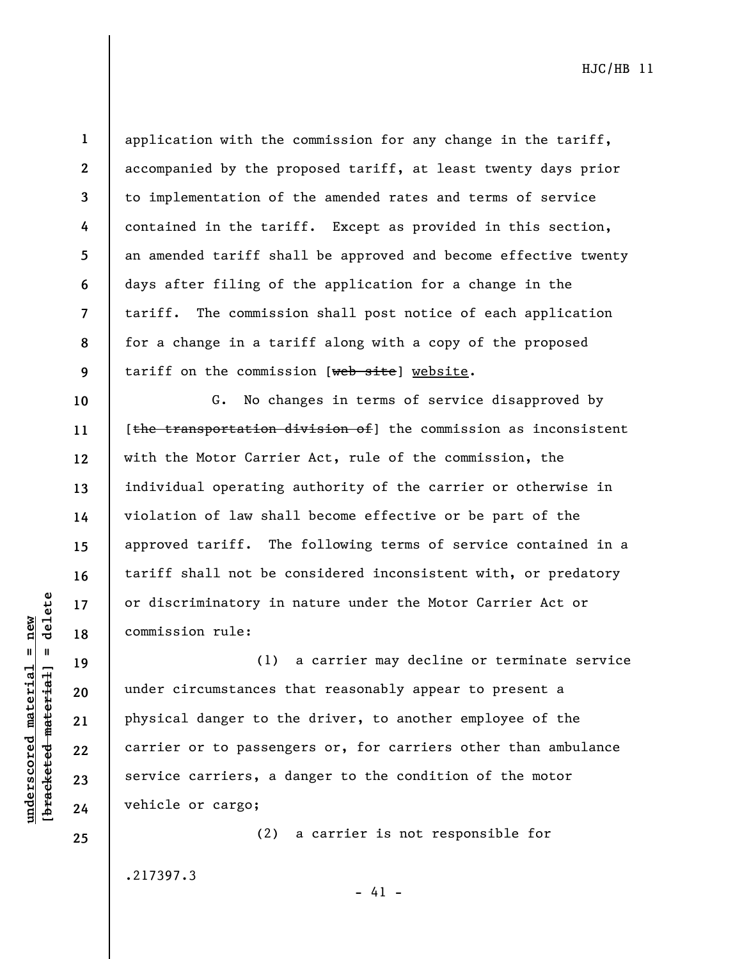**underscored material = new [bracketed material] = delete**

 $b$ racketed material] = delete  $underscored material = new$ 

**20** 

**21** 

**22** 

**23** 

**24** 

**25** 

**1 2 3**  application with the commission for any change in the tariff, accompanied by the proposed tariff, at least twenty days prior to implementation of the amended rates and terms of service contained in the tariff. Except as provided in this section, an amended tariff shall be approved and become effective twenty days after filing of the application for a change in the tariff. The commission shall post notice of each application for a change in a tariff along with a copy of the proposed tariff on the commission [web site] website.

G. No changes in terms of service disapproved by [the transportation division of] the commission as inconsistent with the Motor Carrier Act, rule of the commission, the individual operating authority of the carrier or otherwise in violation of law shall become effective or be part of the approved tariff. The following terms of service contained in a tariff shall not be considered inconsistent with, or predatory or discriminatory in nature under the Motor Carrier Act or commission rule:

(1) a carrier may decline or terminate service under circumstances that reasonably appear to present a physical danger to the driver, to another employee of the carrier or to passengers or, for carriers other than ambulance service carriers, a danger to the condition of the motor vehicle or cargo;

.217397.3

(2) a carrier is not responsible for

 $- 41 -$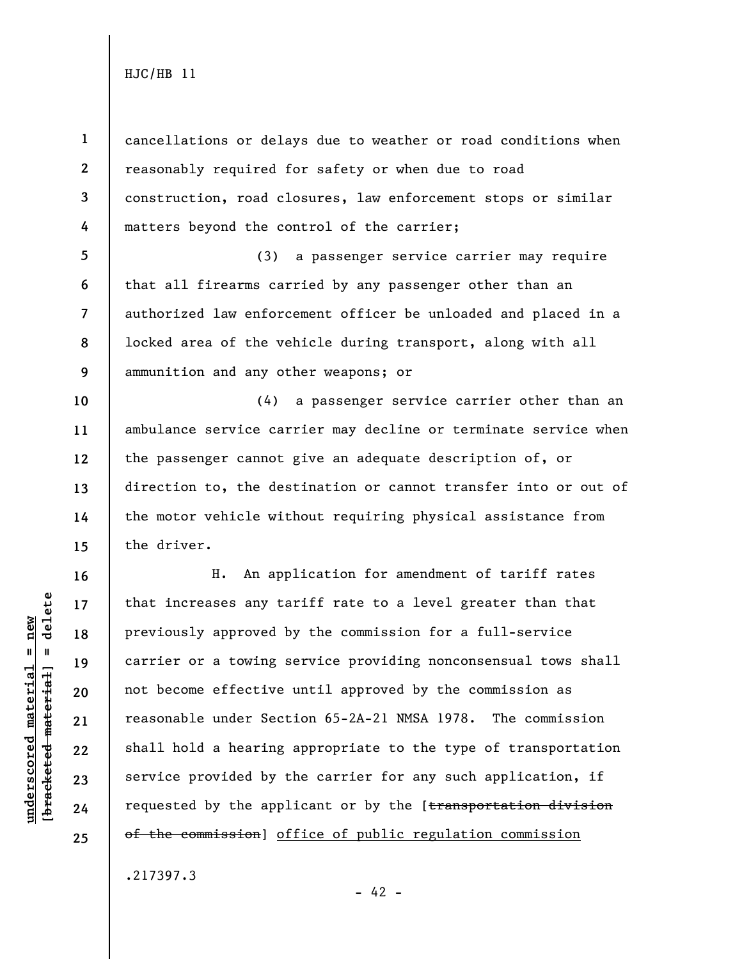**1 2 3 4**  cancellations or delays due to weather or road conditions when reasonably required for safety or when due to road construction, road closures, law enforcement stops or similar matters beyond the control of the carrier;

**5 6 7 8 9**  (3) a passenger service carrier may require that all firearms carried by any passenger other than an authorized law enforcement officer be unloaded and placed in a locked area of the vehicle during transport, along with all ammunition and any other weapons; or

**10 11 12 13 14 15**  (4) a passenger service carrier other than an ambulance service carrier may decline or terminate service when the passenger cannot give an adequate description of, or direction to, the destination or cannot transfer into or out of the motor vehicle without requiring physical assistance from the driver.

H. An application for amendment of tariff rates that increases any tariff rate to a level greater than that previously approved by the commission for a full-service carrier or a towing service providing nonconsensual tows shall not become effective until approved by the commission as reasonable under Section 65-2A-21 NMSA 1978. The commission shall hold a hearing appropriate to the type of transportation service provided by the carrier for any such application, if requested by the applicant or by the [transportation division of the commission] office of public regulation commission

.217397.3

 $b$ racketed material] = delete **[bracketed material] = delete**  $underscored material = new$ **underscored material = new**

**16** 

**17** 

**18** 

**19** 

**20** 

**21** 

**22** 

**23** 

**24**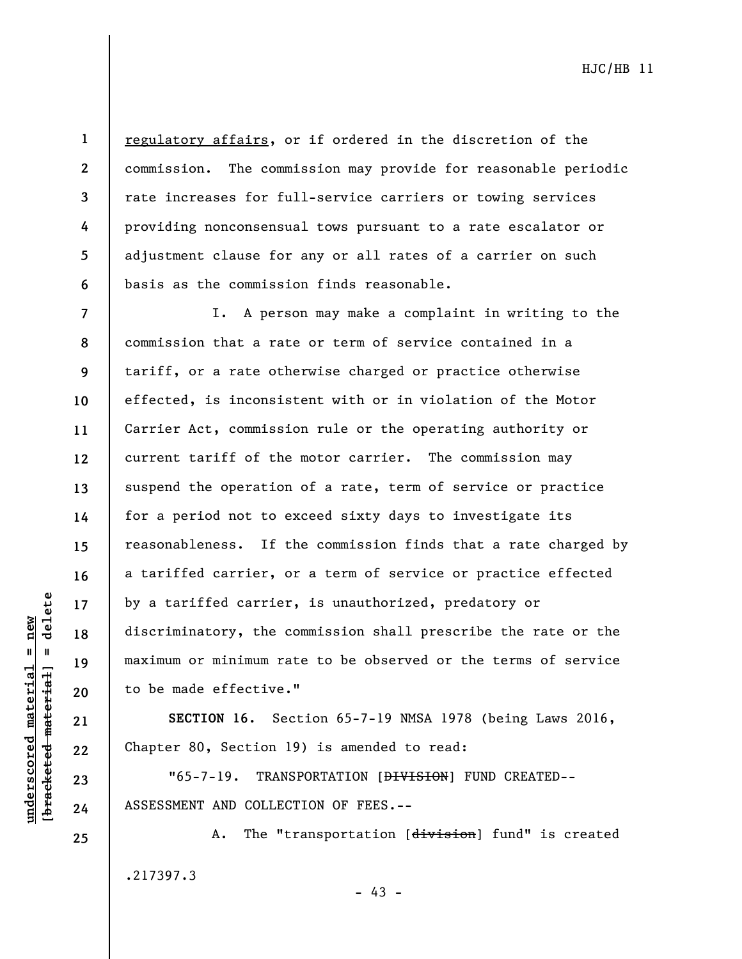**2 3** 

**4** 

**5** 

**6** 

**1** 

regulatory affairs, or if ordered in the discretion of the commission. The commission may provide for reasonable periodic rate increases for full-service carriers or towing services providing nonconsensual tows pursuant to a rate escalator or adjustment clause for any or all rates of a carrier on such basis as the commission finds reasonable.

**7 8 9 10 11 12 13 14 15 16 17 18 19 20**  I. A person may make a complaint in writing to the commission that a rate or term of service contained in a tariff, or a rate otherwise charged or practice otherwise effected, is inconsistent with or in violation of the Motor Carrier Act, commission rule or the operating authority or current tariff of the motor carrier. The commission may suspend the operation of a rate, term of service or practice for a period not to exceed sixty days to investigate its reasonableness. If the commission finds that a rate charged by a tariffed carrier, or a term of service or practice effected by a tariffed carrier, is unauthorized, predatory or discriminatory, the commission shall prescribe the rate or the maximum or minimum rate to be observed or the terms of service to be made effective."

**SECTION 16.** Section 65-7-19 NMSA 1978 (being Laws 2016, Chapter 80, Section 19) is amended to read:

"65-7-19. TRANSPORTATION [DIVISION] FUND CREATED-- ASSESSMENT AND COLLECTION OF FEES.--

A. The "transportation [division] fund" is created .217397.3  $- 43 -$ 

 $b$ racketed material] = delete **[bracketed material] = delete**  $underscored material = new$ **underscored material = new**

**21** 

**22** 

**23** 

**24**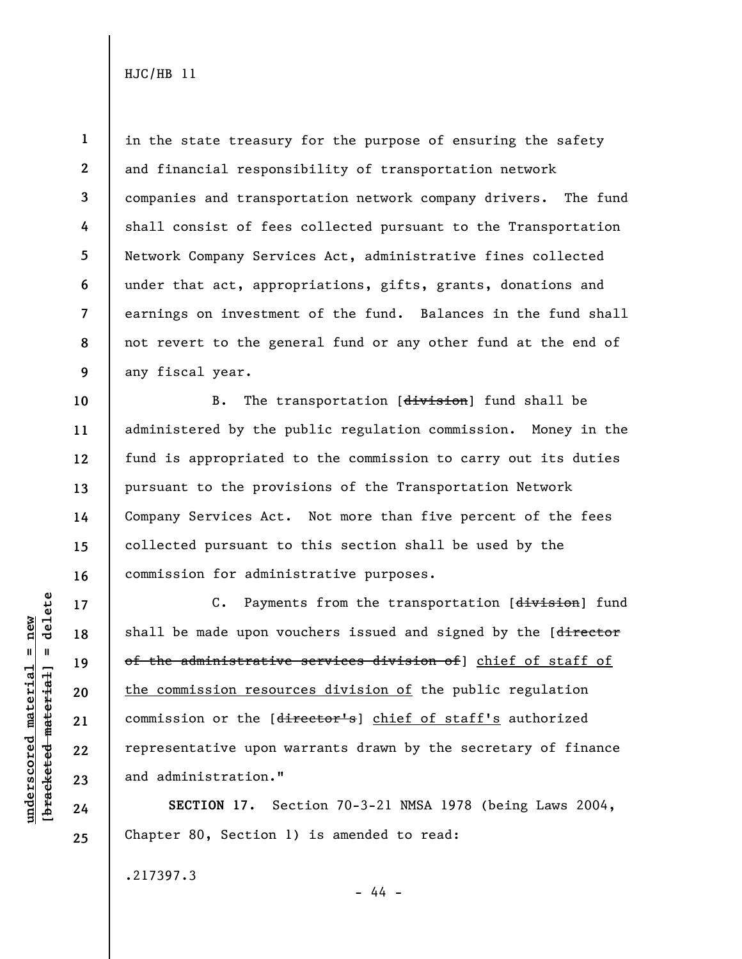**1 2 3 4 5 6 7 8 9**  in the state treasury for the purpose of ensuring the safety and financial responsibility of transportation network companies and transportation network company drivers. The fund shall consist of fees collected pursuant to the Transportation Network Company Services Act, administrative fines collected under that act, appropriations, gifts, grants, donations and earnings on investment of the fund. Balances in the fund shall not revert to the general fund or any other fund at the end of any fiscal year.

**10 12 16**  B. The transportation [division] fund shall be administered by the public regulation commission. Money in the fund is appropriated to the commission to carry out its duties pursuant to the provisions of the Transportation Network Company Services Act. Not more than five percent of the fees collected pursuant to this section shall be used by the commission for administrative purposes.

C. Payments from the transportation [division] fund shall be made upon vouchers issued and signed by the [director of the administrative services division of] chief of staff of the commission resources division of the public regulation commission or the [director's] chief of staff's authorized representative upon warrants drawn by the secretary of finance and administration."

**SECTION 17.** Section 70-3-21 NMSA 1978 (being Laws 2004, Chapter 80, Section 1) is amended to read:

- 44 -

.217397.3

 $b$ racketed material] = delete **[bracketed material] = delete**  $underscored material = new$ **underscored material = new**

**11** 

**13** 

**14** 

**15** 

**17** 

**18** 

**19** 

**20** 

**21** 

**22** 

**23** 

**24**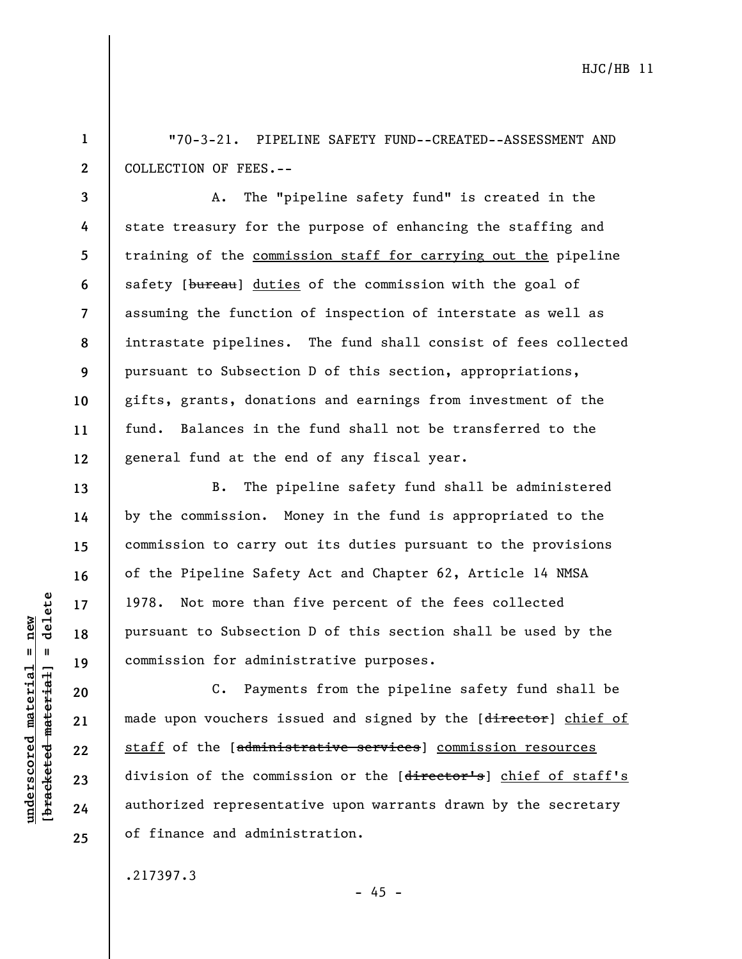**1 2**  "70-3-21. PIPELINE SAFETY FUND--CREATED--ASSESSMENT AND COLLECTION OF FEES.--

**3 4 5 6 7 8 9 10 11 12**  A. The "pipeline safety fund" is created in the state treasury for the purpose of enhancing the staffing and training of the commission staff for carrying out the pipeline safety [bureau] duties of the commission with the goal of assuming the function of inspection of interstate as well as intrastate pipelines. The fund shall consist of fees collected pursuant to Subsection D of this section, appropriations, gifts, grants, donations and earnings from investment of the fund. Balances in the fund shall not be transferred to the general fund at the end of any fiscal year.

B. The pipeline safety fund shall be administered by the commission. Money in the fund is appropriated to the commission to carry out its duties pursuant to the provisions of the Pipeline Safety Act and Chapter 62, Article 14 NMSA 1978. Not more than five percent of the fees collected pursuant to Subsection D of this section shall be used by the commission for administrative purposes.

C. Payments from the pipeline safety fund shall be made upon vouchers issued and signed by the [director] chief of staff of the [administrative services] commission resources division of the commission or the [director's] chief of staff's authorized representative upon warrants drawn by the secretary of finance and administration.

 $- 45 -$ 

.217397.3

 $=$  delete **[bracketed material] = delete**  $underscored material = new$ **underscored material = new** bracketed material **13** 

**14** 

**15** 

**16** 

**17** 

**18** 

**19** 

**20** 

**21** 

**22** 

**23** 

**24**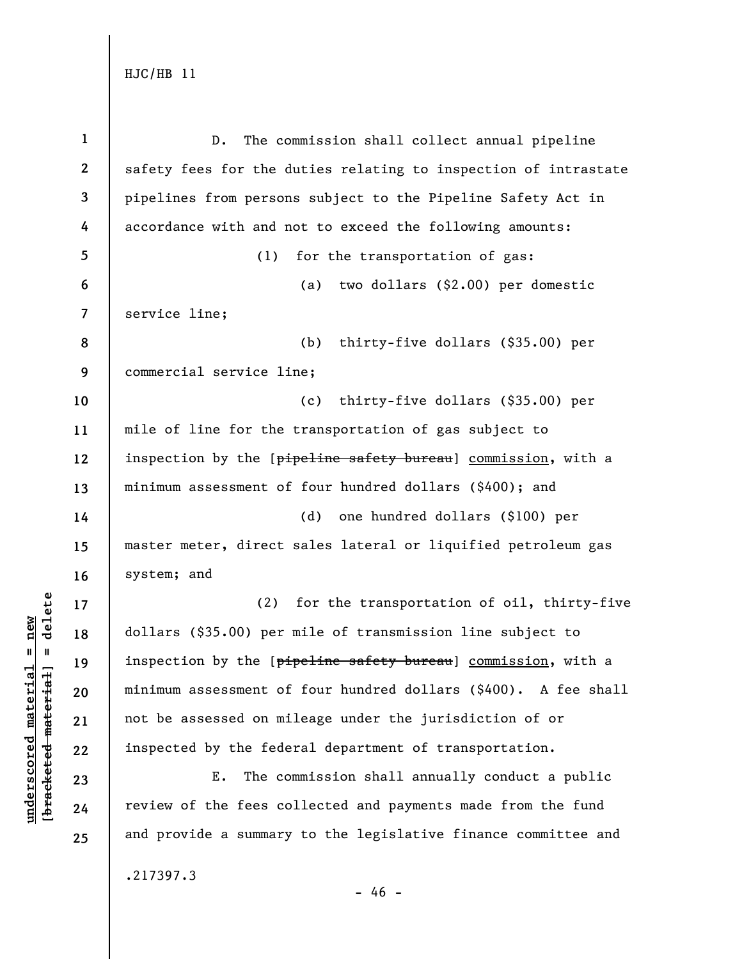| $\mathbf{1}$     | The commission shall collect annual pipeline<br>$D$ .           |
|------------------|-----------------------------------------------------------------|
| $\boldsymbol{2}$ | safety fees for the duties relating to inspection of intrastate |
| 3                | pipelines from persons subject to the Pipeline Safety Act in    |
| 4                | accordance with and not to exceed the following amounts:        |
| 5                | (1)<br>for the transportation of gas:                           |
| 6                | two dollars (\$2.00) per domestic<br>(a)                        |
| 7                | service line;                                                   |
| 8                | (b)<br>thirty-five dollars (\$35.00) per                        |
| 9                | commercial service line;                                        |
| 10               | thirty-five dollars (\$35.00) per<br>(c)                        |
| 11               | mile of line for the transportation of gas subject to           |
| 12               | inspection by the [pipeline safety bureau] commission, with a   |
| 13               | minimum assessment of four hundred dollars (\$400); and         |
| 14               | (d)<br>one hundred dollars (\$100) per                          |
| 15               | master meter, direct sales lateral or liquified petroleum gas   |
| 16               | system; and                                                     |
| 17               | for the transportation of oil, thirty-five<br>(2)               |
| 18               | dollars (\$35.00) per mile of transmission line subject to      |
| 19               | inspection by the [pipeline safety bureau] commission, with a   |
| 20               | minimum assessment of four hundred dollars (\$400). A fee shall |
| 21               | not be assessed on mileage under the jurisdiction of or         |
| 22               | inspected by the federal department of transportation.          |
| 23               | Ε.<br>The commission shall annually conduct a public            |
| 24               | review of the fees collected and payments made from the fund    |
| 25               | and provide a summary to the legislative finance committee and  |
|                  | .217397.3                                                       |

- 46 -

 $[**bracket**et~~ed matched~~ + **met**et<sup>1</sup> + **del**et~~e~~$ **[bracketed material] = delete**  $underscored material = new$ **underscored material = new**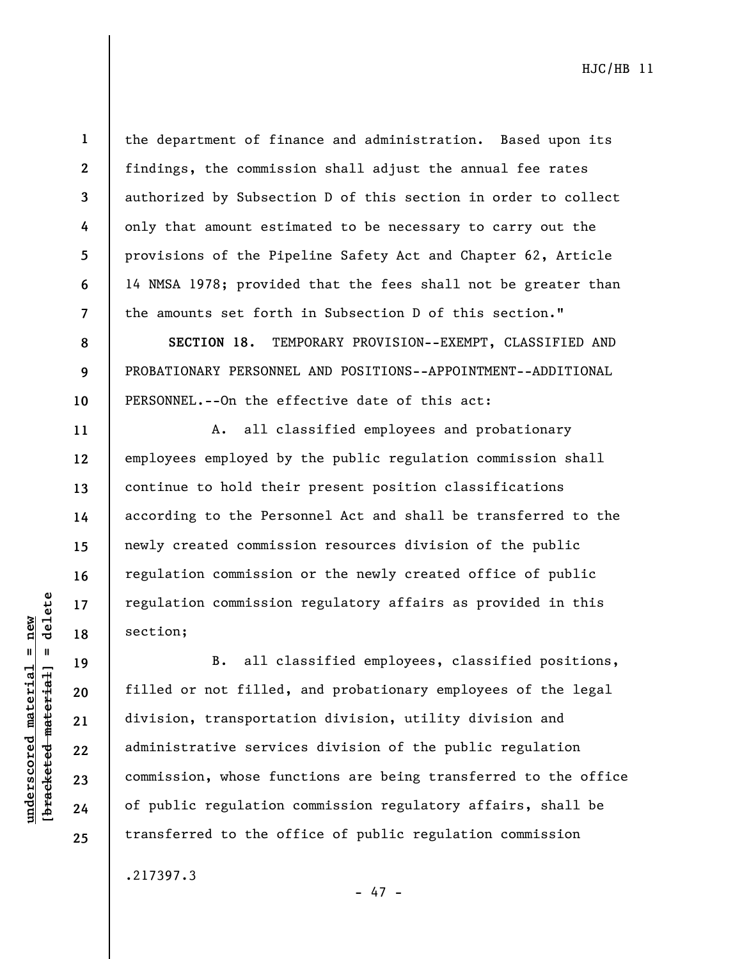$b$ racketed material] = delete **[bracketed material] = delete**  $underscored material = new$ **underscored material = new**

**1** 

**2** 

**3** 

**4** 

**5** 

**6** 

**7** 

**8** 

**9** 

**10** 

**11** 

**12** 

**13** 

**14** 

**15** 

**16** 

**17** 

**18** 

**19** 

**20** 

**21** 

**22** 

**23** 

**24** 

**25** 

the department of finance and administration. Based upon its findings, the commission shall adjust the annual fee rates authorized by Subsection D of this section in order to collect only that amount estimated to be necessary to carry out the provisions of the Pipeline Safety Act and Chapter 62, Article 14 NMSA 1978; provided that the fees shall not be greater than the amounts set forth in Subsection D of this section."

**SECTION 18.** TEMPORARY PROVISION--EXEMPT, CLASSIFIED AND PROBATIONARY PERSONNEL AND POSITIONS--APPOINTMENT--ADDITIONAL PERSONNEL.--On the effective date of this act:

A. all classified employees and probationary employees employed by the public regulation commission shall continue to hold their present position classifications according to the Personnel Act and shall be transferred to the newly created commission resources division of the public regulation commission or the newly created office of public regulation commission regulatory affairs as provided in this section;

B. all classified employees, classified positions, filled or not filled, and probationary employees of the legal division, transportation division, utility division and administrative services division of the public regulation commission, whose functions are being transferred to the office of public regulation commission regulatory affairs, shall be transferred to the office of public regulation commission

.217397.3

- 47 -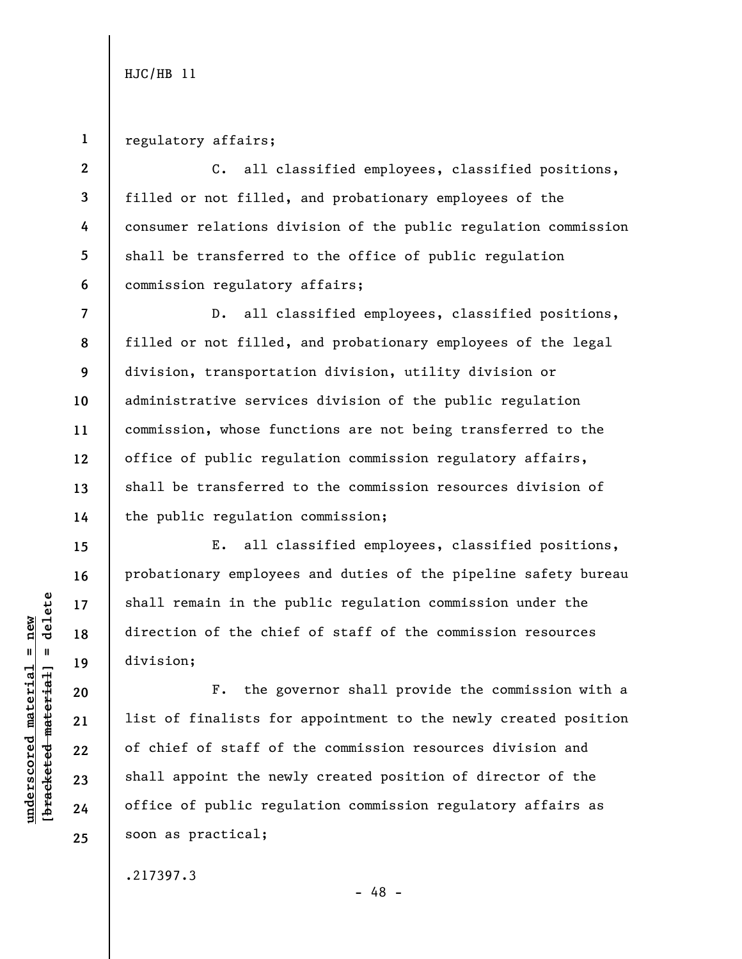**2** 

**4** 

**5** 

**6** 

**7** 

**8** 

**9** 

**10** 

**11** 

**12** 

**13** 

**14** 

**15** 

**16** 

**17** 

**18** 

**19** 

**20** 

**21** 

**22** 

**23** 

**24** 

**25** 

## **1**  regulatory affairs;

**3**  C. all classified employees, classified positions, filled or not filled, and probationary employees of the consumer relations division of the public regulation commission shall be transferred to the office of public regulation commission regulatory affairs;

D. all classified employees, classified positions, filled or not filled, and probationary employees of the legal division, transportation division, utility division or administrative services division of the public regulation commission, whose functions are not being transferred to the office of public regulation commission regulatory affairs, shall be transferred to the commission resources division of the public regulation commission;

E. all classified employees, classified positions, probationary employees and duties of the pipeline safety bureau shall remain in the public regulation commission under the direction of the chief of staff of the commission resources division;

F. the governor shall provide the commission with a list of finalists for appointment to the newly created position of chief of staff of the commission resources division and shall appoint the newly created position of director of the office of public regulation commission regulatory affairs as soon as practical;

.217397.3

 $b$ racketed material] = delete **[bracketed material] = delete**  $underscored material = new$ **underscored material = new**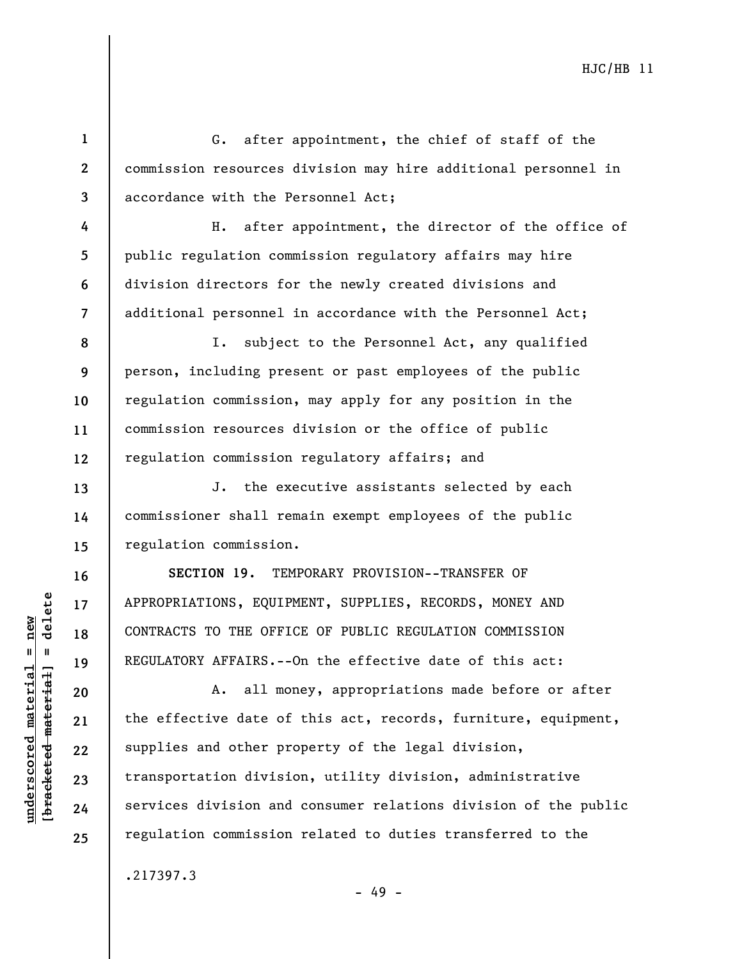G. after appointment, the chief of staff of the commission resources division may hire additional personnel in accordance with the Personnel Act;

H. after appointment, the director of the office of public regulation commission regulatory affairs may hire division directors for the newly created divisions and additional personnel in accordance with the Personnel Act;

**8 9 10 11 12**  I. subject to the Personnel Act, any qualified person, including present or past employees of the public regulation commission, may apply for any position in the commission resources division or the office of public regulation commission regulatory affairs; and

J. the executive assistants selected by each commissioner shall remain exempt employees of the public regulation commission.

**SECTION 19.** TEMPORARY PROVISION--TRANSFER OF APPROPRIATIONS, EQUIPMENT, SUPPLIES, RECORDS, MONEY AND CONTRACTS TO THE OFFICE OF PUBLIC REGULATION COMMISSION REGULATORY AFFAIRS.--On the effective date of this act:

A. all money, appropriations made before or after the effective date of this act, records, furniture, equipment, supplies and other property of the legal division, transportation division, utility division, administrative services division and consumer relations division of the public regulation commission related to duties transferred to the

- 49 -

.217397.3

 $b$ racketed material] = delete **[bracketed material] = delete**  $underscored material = new$ **underscored material = new**

**1** 

**2** 

**3** 

**4** 

**5** 

**6** 

**7** 

**13** 

**14** 

**15** 

**16** 

**17** 

**18** 

**19** 

**20** 

**21** 

**22** 

**23** 

**24**